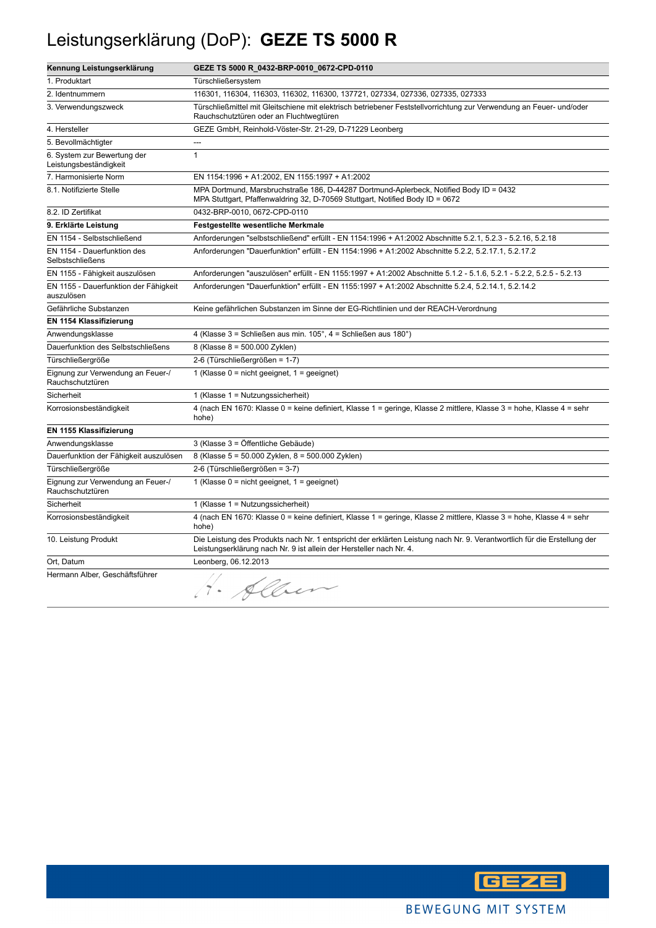## Leistungserklärung (DoP): **GEZE TS 5000 R**

| Kennung Leistungserklärung                            | GEZE TS 5000 R_0432-BRP-0010_0672-CPD-0110                                                                                                                                                      |
|-------------------------------------------------------|-------------------------------------------------------------------------------------------------------------------------------------------------------------------------------------------------|
| 1. Produktart                                         | Türschließersystem                                                                                                                                                                              |
| 2. Identnummern                                       | 116301, 116304, 116303, 116302, 116300, 137721, 027334, 027336, 027335, 027333                                                                                                                  |
| 3. Verwendungszweck                                   | Türschließmittel mit Gleitschiene mit elektrisch betriebener Feststellvorrichtung zur Verwendung an Feuer- und/oder<br>Rauchschutztüren oder an Fluchtwegtüren                                  |
| 4. Hersteller                                         | GEZE GmbH, Reinhold-Vöster-Str. 21-29, D-71229 Leonberg                                                                                                                                         |
| 5. Bevollmächtigter                                   | ---                                                                                                                                                                                             |
| 6. System zur Bewertung der<br>Leistungsbeständigkeit | $\mathbf{1}$                                                                                                                                                                                    |
| 7. Harmonisierte Norm                                 | EN 1154:1996 + A1:2002, EN 1155:1997 + A1:2002                                                                                                                                                  |
| 8.1. Notifizierte Stelle                              | MPA Dortmund, Marsbruchstraße 186, D-44287 Dortmund-Aplerbeck, Notified Body ID = 0432<br>MPA Stuttgart, Pfaffenwaldring 32, D-70569 Stuttgart, Notified Body ID = 0672                         |
| 8.2. ID Zertifikat                                    | 0432-BRP-0010, 0672-CPD-0110                                                                                                                                                                    |
| 9. Erklärte Leistung                                  | Festgestellte wesentliche Merkmale                                                                                                                                                              |
| EN 1154 - Selbstschließend                            | Anforderungen "selbstschließend" erfüllt - EN 1154:1996 + A1:2002 Abschnitte 5.2.1, 5.2.3 - 5.2.16, 5.2.18                                                                                      |
| EN 1154 - Dauerfunktion des<br>Selbstschließens       | Anforderungen "Dauerfunktion" erfüllt - EN 1154:1996 + A1:2002 Abschnitte 5.2.2, 5.2.17.1, 5.2.17.2                                                                                             |
| EN 1155 - Fähigkeit auszulösen                        | Anforderungen "auszulösen" erfüllt - EN 1155:1997 + A1:2002 Abschnitte 5.1.2 - 5.1.6, 5.2.1 - 5.2.2, 5.2.5 - 5.2.13                                                                             |
| EN 1155 - Dauerfunktion der Fähigkeit<br>auszulösen   | Anforderungen "Dauerfunktion" erfüllt - EN 1155:1997 + A1:2002 Abschnitte 5.2.4, 5.2.14.1, 5.2.14.2                                                                                             |
| Gefährliche Substanzen                                | Keine gefährlichen Substanzen im Sinne der EG-Richtlinien und der REACH-Verordnung                                                                                                              |
| EN 1154 Klassifizierung                               |                                                                                                                                                                                                 |
| Anwendungsklasse                                      | 4 (Klasse 3 = Schließen aus min. 105°, 4 = Schließen aus 180°)                                                                                                                                  |
| Dauerfunktion des Selbstschließens                    | 8 (Klasse 8 = 500.000 Zyklen)                                                                                                                                                                   |
| Türschließergröße                                     | 2-6 (Türschließergrößen = 1-7)                                                                                                                                                                  |
| Eignung zur Verwendung an Feuer-/<br>Rauchschutztüren | 1 (Klasse $0 = \text{nicht}$ geeignet, $1 = \text{geeignet}$ )                                                                                                                                  |
| Sicherheit                                            | 1 (Klasse $1 =$ Nutzungssicherheit)                                                                                                                                                             |
| Korrosionsbeständigkeit                               | 4 (nach EN 1670: Klasse 0 = keine definiert, Klasse 1 = geringe, Klasse 2 mittlere, Klasse 3 = hohe, Klasse 4 = sehr<br>hohe)                                                                   |
| EN 1155 Klassifizierung                               |                                                                                                                                                                                                 |
| Anwendungsklasse                                      | 3 (Klasse 3 = Öffentliche Gebäude)                                                                                                                                                              |
| Dauerfunktion der Fähigkeit auszulösen                | 8 (Klasse 5 = 50.000 Zyklen, 8 = 500.000 Zyklen)                                                                                                                                                |
| Türschließergröße                                     | 2-6 (Türschließergrößen = 3-7)                                                                                                                                                                  |
| Eignung zur Verwendung an Feuer-/<br>Rauchschutztüren | 1 (Klasse $0 = \text{nicht}$ geeignet, $1 = \text{geeignet}$ )                                                                                                                                  |
| Sicherheit                                            | 1 (Klasse $1 =$ Nutzungssicherheit)                                                                                                                                                             |
| Korrosionsbeständigkeit                               | 4 (nach EN 1670: Klasse 0 = keine definiert, Klasse 1 = geringe, Klasse 2 mittlere, Klasse 3 = hohe, Klasse 4 = sehr<br>hohe)                                                                   |
| 10. Leistung Produkt                                  | Die Leistung des Produkts nach Nr. 1 entspricht der erklärten Leistung nach Nr. 9. Verantwortlich für die Erstellung der<br>Leistungserklärung nach Nr. 9 ist allein der Hersteller nach Nr. 4. |
| Ort, Datum                                            | Leonberg, 06.12.2013                                                                                                                                                                            |
| Hermann Alber, Geschäftsführer                        | 1. Alben                                                                                                                                                                                        |

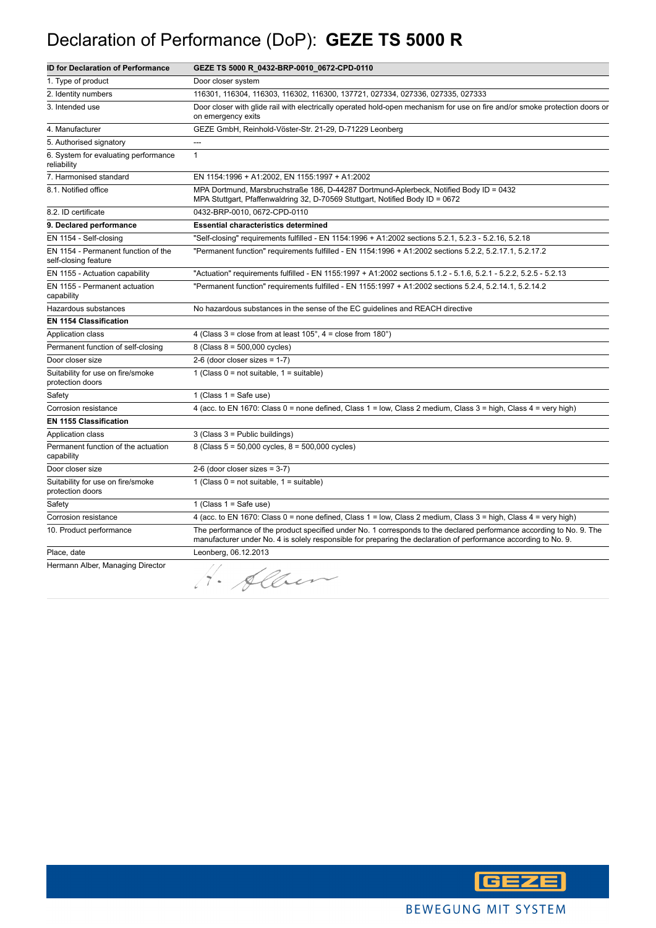## Declaration of Performance (DoP): **GEZE TS 5000 R**

| <b>ID for Declaration of Performance</b>                    | GEZE TS 5000 R_0432-BRP-0010_0672-CPD-0110                                                                                                                                                                                              |
|-------------------------------------------------------------|-----------------------------------------------------------------------------------------------------------------------------------------------------------------------------------------------------------------------------------------|
| 1. Type of product                                          | Door closer system                                                                                                                                                                                                                      |
| 2. Identity numbers                                         | 116301, 116304, 116303, 116302, 116300, 137721, 027334, 027336, 027335, 027333                                                                                                                                                          |
| 3. Intended use                                             | Door closer with glide rail with electrically operated hold-open mechanism for use on fire and/or smoke protection doors or<br>on emergency exits                                                                                       |
| 4. Manufacturer                                             | GEZE GmbH, Reinhold-Vöster-Str. 21-29, D-71229 Leonberg                                                                                                                                                                                 |
| 5. Authorised signatory                                     | ---                                                                                                                                                                                                                                     |
| 6. System for evaluating performance<br>reliability         | $\mathbf{1}$                                                                                                                                                                                                                            |
| 7. Harmonised standard                                      | EN 1154:1996 + A1:2002, EN 1155:1997 + A1:2002                                                                                                                                                                                          |
| 8.1. Notified office                                        | MPA Dortmund, Marsbruchstraße 186, D-44287 Dortmund-Aplerbeck, Notified Body ID = 0432<br>MPA Stuttgart, Pfaffenwaldring 32, D-70569 Stuttgart, Notified Body ID = 0672                                                                 |
| 8.2. ID certificate                                         | 0432-BRP-0010, 0672-CPD-0110                                                                                                                                                                                                            |
| 9. Declared performance                                     | <b>Essential characteristics determined</b>                                                                                                                                                                                             |
| EN 1154 - Self-closing                                      | "Self-closing" requirements fulfilled - EN 1154:1996 + A1:2002 sections 5.2.1, 5.2.3 - 5.2.16, 5.2.18                                                                                                                                   |
| EN 1154 - Permanent function of the<br>self-closing feature | "Permanent function" requirements fulfilled - EN 1154:1996 + A1:2002 sections 5.2.2, 5.2.17.1, 5.2.17.2                                                                                                                                 |
| EN 1155 - Actuation capability                              | "Actuation" requirements fulfilled - EN 1155:1997 + A1:2002 sections 5.1.2 - 5.1.6, 5.2.1 - 5.2.2, 5.2.5 - 5.2.13                                                                                                                       |
| EN 1155 - Permanent actuation<br>capability                 | "Permanent function" requirements fulfilled - EN 1155:1997 + A1:2002 sections 5.2.4, 5.2.14.1, 5.2.14.2                                                                                                                                 |
| Hazardous substances                                        | No hazardous substances in the sense of the EC guidelines and REACH directive                                                                                                                                                           |
| <b>EN 1154 Classification</b>                               |                                                                                                                                                                                                                                         |
| Application class                                           | 4 (Class $3 =$ close from at least $105^\circ$ , $4 =$ close from $180^\circ$ )                                                                                                                                                         |
| Permanent function of self-closing                          | 8 (Class 8 = 500,000 cycles)                                                                                                                                                                                                            |
| Door closer size                                            | $2-6$ (door closer sizes = 1-7)                                                                                                                                                                                                         |
| Suitability for use on fire/smoke<br>protection doors       | 1 (Class $0 = not suitable$ , $1 = suitable$ )                                                                                                                                                                                          |
| Safety                                                      | 1 (Class $1 =$ Safe use)                                                                                                                                                                                                                |
| Corrosion resistance                                        | 4 (acc. to EN 1670: Class 0 = none defined, Class 1 = low, Class 2 medium, Class 3 = high, Class 4 = very high)                                                                                                                         |
| <b>EN 1155 Classification</b>                               |                                                                                                                                                                                                                                         |
| Application class                                           | $3$ (Class $3$ = Public buildings)                                                                                                                                                                                                      |
| Permanent function of the actuation<br>capability           | 8 (Class 5 = 50,000 cycles, 8 = 500,000 cycles)                                                                                                                                                                                         |
| Door closer size                                            | $2-6$ (door closer sizes = 3-7)                                                                                                                                                                                                         |
| Suitability for use on fire/smoke<br>protection doors       | 1 (Class $0 = not suitable$ , $1 = suitable$ )                                                                                                                                                                                          |
| Safety                                                      | 1 (Class $1 =$ Safe use)                                                                                                                                                                                                                |
| Corrosion resistance                                        | 4 (acc. to EN 1670: Class 0 = none defined, Class 1 = low, Class 2 medium, Class 3 = high, Class 4 = very high)                                                                                                                         |
| 10. Product performance                                     | The performance of the product specified under No. 1 corresponds to the declared performance according to No. 9. The<br>manufacturer under No. 4 is solely responsible for preparing the declaration of performance according to No. 9. |
| Place, date                                                 | Leonberg, 06.12.2013                                                                                                                                                                                                                    |
| Hermann Alber, Managing Director                            | · Alber                                                                                                                                                                                                                                 |

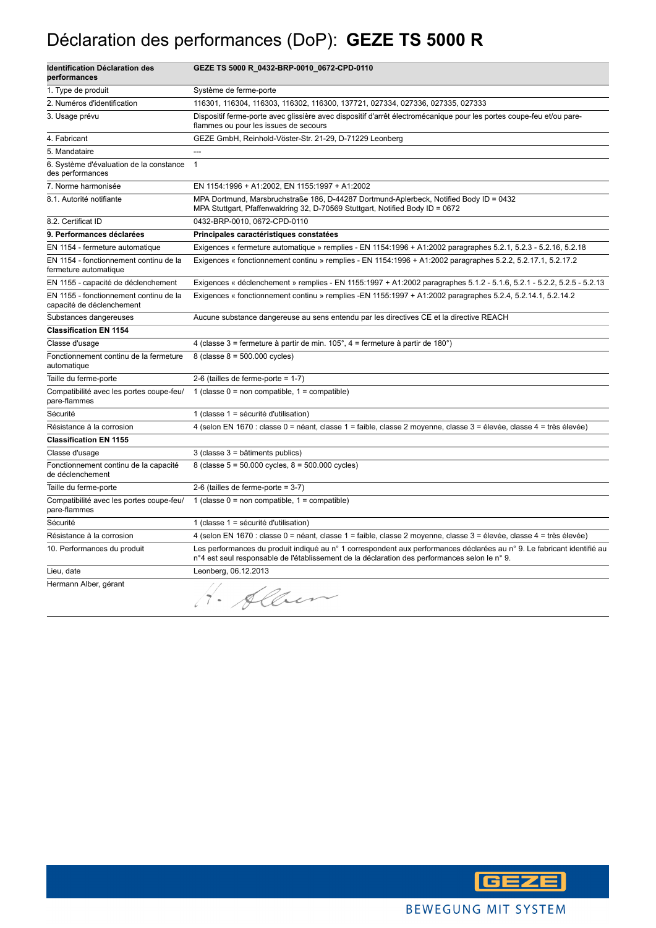## Déclaration des performances (DoP): **GEZE TS 5000 R**

| <b>Identification Déclaration des</b><br>performances               | GEZE TS 5000 R_0432-BRP-0010_0672-CPD-0110                                                                                                                                                                              |
|---------------------------------------------------------------------|-------------------------------------------------------------------------------------------------------------------------------------------------------------------------------------------------------------------------|
| 1. Type de produit                                                  | Système de ferme-porte                                                                                                                                                                                                  |
| 2. Numéros d'identification                                         | 116301, 116304, 116303, 116302, 116300, 137721, 027334, 027336, 027335, 027333                                                                                                                                          |
| 3. Usage prévu                                                      | Dispositif ferme-porte avec glissière avec dispositif d'arrêt électromécanique pour les portes coupe-feu et/ou pare-<br>flammes ou pour les issues de secours                                                           |
| 4. Fabricant                                                        | GEZE GmbH, Reinhold-Vöster-Str. 21-29, D-71229 Leonberg                                                                                                                                                                 |
| 5. Mandataire                                                       | ---                                                                                                                                                                                                                     |
| 6. Système d'évaluation de la constance<br>des performances         | $\mathbf{1}$                                                                                                                                                                                                            |
| 7. Norme harmonisée                                                 | EN 1154:1996 + A1:2002, EN 1155:1997 + A1:2002                                                                                                                                                                          |
| 8.1. Autorité notifiante                                            | MPA Dortmund, Marsbruchstraße 186, D-44287 Dortmund-Aplerbeck, Notified Body ID = 0432<br>MPA Stuttgart, Pfaffenwaldring 32, D-70569 Stuttgart, Notified Body ID = 0672                                                 |
| 8.2. Certificat ID                                                  | 0432-BRP-0010, 0672-CPD-0110                                                                                                                                                                                            |
| 9. Performances déclarées                                           | Principales caractéristiques constatées                                                                                                                                                                                 |
| EN 1154 - fermeture automatique                                     | Exigences « fermeture automatique » remplies - EN 1154:1996 + A1:2002 paragraphes 5.2.1, 5.2.3 - 5.2.16, 5.2.18                                                                                                         |
| EN 1154 - fonctionnement continu de la<br>fermeture automatique     | Exigences « fonctionnement continu » remplies - EN 1154:1996 + A1:2002 paragraphes 5.2.2, 5.2.17.1, 5.2.17.2                                                                                                            |
| EN 1155 - capacité de déclenchement                                 | Exigences « déclenchement » remplies - EN 1155:1997 + A1:2002 paragraphes 5.1.2 - 5.1.6, 5.2.1 - 5.2.2, 5.2.5 - 5.2.13                                                                                                  |
| EN 1155 - fonctionnement continu de la<br>capacité de déclenchement | Exigences « fonctionnement continu » remplies -EN 1155:1997 + A1:2002 paragraphes 5.2.4, 5.2.14.1, 5.2.14.2                                                                                                             |
| Substances dangereuses                                              | Aucune substance dangereuse au sens entendu par les directives CE et la directive REACH                                                                                                                                 |
| <b>Classification EN 1154</b>                                       |                                                                                                                                                                                                                         |
| Classe d'usage                                                      | 4 (classe 3 = fermeture à partir de min. $105^\circ$ , 4 = fermeture à partir de $180^\circ$ )                                                                                                                          |
| Fonctionnement continu de la fermeture<br>automatique               | 8 (classe $8 = 500.000$ cycles)                                                                                                                                                                                         |
| Taille du ferme-porte                                               | 2-6 (tailles de ferme-porte = $1-7$ )                                                                                                                                                                                   |
| Compatibilité avec les portes coupe-feu/<br>pare-flammes            | 1 (classe $0 =$ non compatible, $1 =$ compatible)                                                                                                                                                                       |
| Sécurité                                                            | 1 (classe 1 = sécurité d'utilisation)                                                                                                                                                                                   |
| Résistance à la corrosion                                           | 4 (selon EN 1670 : classe 0 = néant, classe 1 = faible, classe 2 moyenne, classe 3 = élevée, classe 4 = très élevée)                                                                                                    |
| <b>Classification EN 1155</b>                                       |                                                                                                                                                                                                                         |
| Classe d'usage                                                      | 3 (classe 3 = bâtiments publics)                                                                                                                                                                                        |
| Fonctionnement continu de la capacité<br>de déclenchement           | 8 (classe $5 = 50.000$ cycles, $8 = 500.000$ cycles)                                                                                                                                                                    |
| Taille du ferme-porte                                               | 2-6 (tailles de ferme-porte = $3-7$ )                                                                                                                                                                                   |
| Compatibilité avec les portes coupe-feu/<br>pare-flammes            | 1 (classe $0 =$ non compatible, $1 =$ compatible)                                                                                                                                                                       |
| Sécurité                                                            | 1 (classe 1 = sécurité d'utilisation)                                                                                                                                                                                   |
| Résistance à la corrosion                                           | 4 (selon EN 1670 : classe 0 = néant, classe 1 = faible, classe 2 moyenne, classe 3 = élevée, classe 4 = très élevée)                                                                                                    |
| 10. Performances du produit                                         | Les performances du produit indiqué au n° 1 correspondent aux performances déclarées au n° 9. Le fabricant identifié au<br>n°4 est seul responsable de l'établissement de la déclaration des performances selon le n°9. |
| Lieu, date                                                          | Leonberg, 06.12.2013                                                                                                                                                                                                    |
| Hermann Alber, gérant                                               | Albert                                                                                                                                                                                                                  |

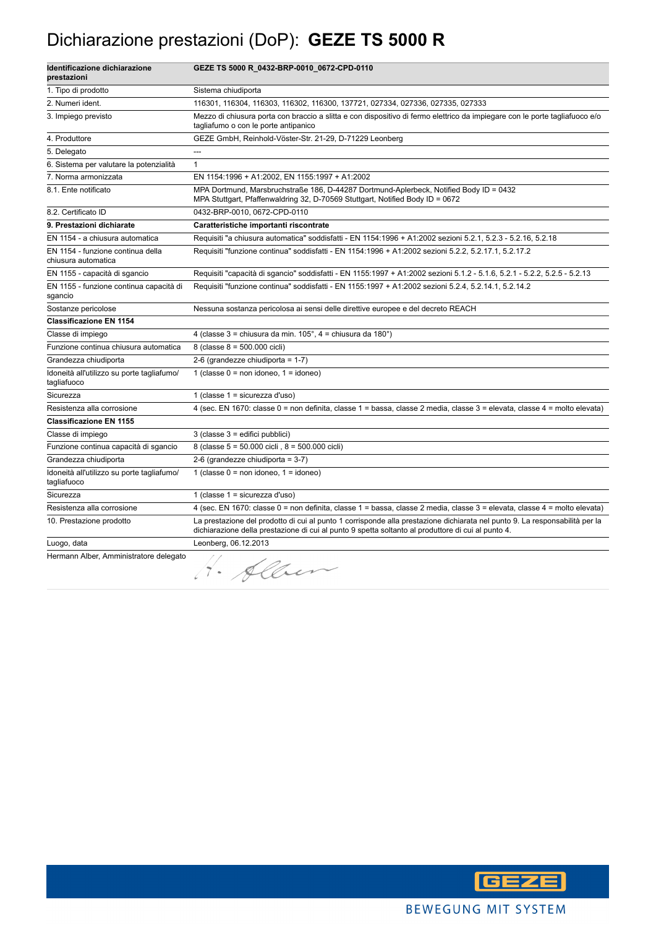#### Dichiarazione prestazioni (DoP): **GEZE TS 5000 R**

| Identificazione dichiarazione<br>prestazioni              | GEZE TS 5000 R_0432-BRP-0010_0672-CPD-0110                                                                                                                                                                                        |
|-----------------------------------------------------------|-----------------------------------------------------------------------------------------------------------------------------------------------------------------------------------------------------------------------------------|
| 1. Tipo di prodotto                                       | Sistema chiudiporta                                                                                                                                                                                                               |
| 2. Numeri ident.                                          | 116301, 116304, 116303, 116302, 116300, 137721, 027334, 027336, 027335, 027333                                                                                                                                                    |
| 3. Impiego previsto                                       | Mezzo di chiusura porta con braccio a slitta e con dispositivo di fermo elettrico da impiegare con le porte tagliafuoco e/o<br>tagliafumo o con le porte antipanico                                                               |
| 4. Produttore                                             | GEZE GmbH, Reinhold-Vöster-Str. 21-29, D-71229 Leonberg                                                                                                                                                                           |
| 5. Delegato                                               | $\overline{a}$                                                                                                                                                                                                                    |
| 6. Sistema per valutare la potenzialità                   | $\mathbf{1}$                                                                                                                                                                                                                      |
| 7. Norma armonizzata                                      | EN 1154:1996 + A1:2002, EN 1155:1997 + A1:2002                                                                                                                                                                                    |
| 8.1. Ente notificato                                      | MPA Dortmund, Marsbruchstraße 186, D-44287 Dortmund-Aplerbeck, Notified Body ID = 0432<br>MPA Stuttgart, Pfaffenwaldring 32, D-70569 Stuttgart, Notified Body ID = 0672                                                           |
| 8.2. Certificato ID                                       | 0432-BRP-0010, 0672-CPD-0110                                                                                                                                                                                                      |
| 9. Prestazioni dichiarate                                 | Caratteristiche importanti riscontrate                                                                                                                                                                                            |
| EN 1154 - a chiusura automatica                           | Requisiti "a chiusura automatica" soddisfatti - EN 1154:1996 + A1:2002 sezioni 5.2.1, 5.2.3 - 5.2.16, 5.2.18                                                                                                                      |
| EN 1154 - funzione continua della<br>chiusura automatica  | Requisiti "funzione continua" soddisfatti - EN 1154:1996 + A1:2002 sezioni 5.2.2, 5.2.17.1, 5.2.17.2                                                                                                                              |
| EN 1155 - capacità di sgancio                             | Requisiti "capacità di sgancio" soddisfatti - EN 1155:1997 + A1:2002 sezioni 5.1.2 - 5.1.6, 5.2.1 - 5.2.2, 5.2.5 - 5.2.13                                                                                                         |
| EN 1155 - funzione continua capacità di<br>sgancio        | Requisiti "funzione continua" soddisfatti - EN 1155:1997 + A1:2002 sezioni 5.2.4, 5.2.14.1, 5.2.14.2                                                                                                                              |
| Sostanze pericolose                                       | Nessuna sostanza pericolosa ai sensi delle direttive europee e del decreto REACH                                                                                                                                                  |
| <b>Classificazione EN 1154</b>                            |                                                                                                                                                                                                                                   |
| Classe di impiego                                         | 4 (classe $3 =$ chiusura da min. $105^\circ$ , $4 =$ chiusura da $180^\circ$ )                                                                                                                                                    |
| Funzione continua chiusura automatica                     | 8 (classe 8 = 500.000 cicli)                                                                                                                                                                                                      |
| Grandezza chiudiporta                                     | 2-6 (grandezze chiudiporta = $1-7$ )                                                                                                                                                                                              |
| Idoneità all'utilizzo su porte tagliafumo/<br>tagliafuoco | 1 (classe $0 = \text{non}$ idoneo, $1 = \text{idoneo}$ )                                                                                                                                                                          |
| Sicurezza                                                 | 1 (classe 1 = sicurezza d'uso)                                                                                                                                                                                                    |
| Resistenza alla corrosione                                | 4 (sec. EN 1670: classe 0 = non definita, classe 1 = bassa, classe 2 media, classe 3 = elevata, classe 4 = molto elevata)                                                                                                         |
| <b>Classificazione EN 1155</b>                            |                                                                                                                                                                                                                                   |
| Classe di impiego                                         | 3 (classe 3 = edifici pubblici)                                                                                                                                                                                                   |
| Funzione continua capacità di sgancio                     | 8 (classe 5 = 50.000 cicli, 8 = 500.000 cicli)                                                                                                                                                                                    |
| Grandezza chiudiporta                                     | 2-6 (grandezze chiudiporta = 3-7)                                                                                                                                                                                                 |
| Idoneità all'utilizzo su porte tagliafumo/<br>tagliafuoco | 1 (classe $0 = \text{non}$ idoneo, $1 = \text{idoneo}$ )                                                                                                                                                                          |
| Sicurezza                                                 | 1 (classe $1 =$ sicurezza d'uso)                                                                                                                                                                                                  |
| Resistenza alla corrosione                                | 4 (sec. EN 1670: classe 0 = non definita, classe 1 = bassa, classe 2 media, classe 3 = elevata, classe 4 = molto elevata)                                                                                                         |
| 10. Prestazione prodotto                                  | La prestazione del prodotto di cui al punto 1 corrisponde alla prestazione dichiarata nel punto 9. La responsabilità per la<br>dichiarazione della prestazione di cui al punto 9 spetta soltanto al produttore di cui al punto 4. |
| Luogo, data                                               | Leonberg, 06.12.2013                                                                                                                                                                                                              |
| Hermann Alber, Amministratore delegato                    | 4. Alber                                                                                                                                                                                                                          |

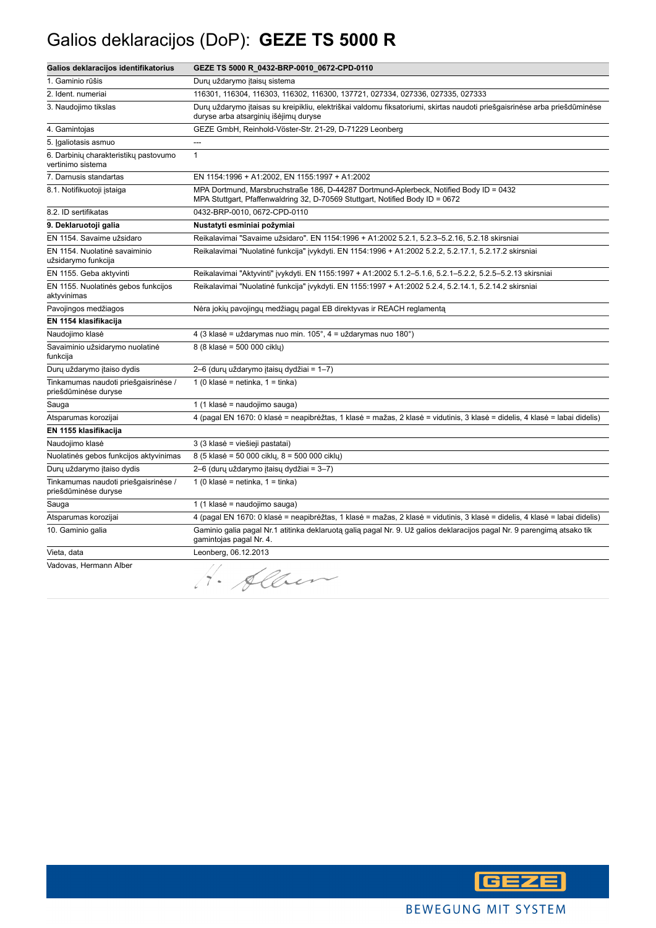## Galios deklaracijos (DoP): **GEZE TS 5000 R**

| Galios deklaracijos identifikatorius                         | GEZE TS 5000 R_0432-BRP-0010_0672-CPD-0110                                                                                                                              |
|--------------------------------------------------------------|-------------------------------------------------------------------------------------------------------------------------------------------------------------------------|
| 1. Gaminio rūšis                                             | Durų uždarymo įtaisų sistema                                                                                                                                            |
| 2. Ident. numeriai                                           | 116301, 116304, 116303, 116302, 116300, 137721, 027334, 027336, 027335, 027333                                                                                          |
| 3. Naudojimo tikslas                                         | Durų uždarymo įtaisas su kreipikliu, elektriškai valdomu fiksatoriumi, skirtas naudoti priešgaisrinėse arba priešdūminėse<br>duryse arba atsarginių išėjimų duryse      |
| 4. Gamintojas                                                | GEZE GmbH, Reinhold-Vöster-Str. 21-29, D-71229 Leonberg                                                                                                                 |
| 5. Igaliotasis asmuo                                         | ---                                                                                                                                                                     |
| 6. Darbinių charakteristikų pastovumo<br>vertinimo sistema   | $\mathbf{1}$                                                                                                                                                            |
| 7. Darnusis standartas                                       | EN 1154:1996 + A1:2002, EN 1155:1997 + A1:2002                                                                                                                          |
| 8.1. Notifikuotoji įstaiga                                   | MPA Dortmund, Marsbruchstraße 186, D-44287 Dortmund-Aplerbeck, Notified Body ID = 0432<br>MPA Stuttgart, Pfaffenwaldring 32, D-70569 Stuttgart, Notified Body ID = 0672 |
| 8.2. ID sertifikatas                                         | 0432-BRP-0010, 0672-CPD-0110                                                                                                                                            |
| 9. Deklaruotoji galia                                        | Nustatyti esminiai požymiai                                                                                                                                             |
| EN 1154. Savaime užsidaro                                    | Reikalavimai "Savaime užsidaro". EN 1154:1996 + A1:2002 5.2.1, 5.2.3-5.2.16, 5.2.18 skirsniai                                                                           |
| EN 1154. Nuolatinė savaiminio<br>užsidarymo funkcija         | Reikalavimai "Nuolatinė funkcija" įvykdyti. EN 1154:1996 + A1:2002 5.2.2, 5.2.17.1, 5.2.17.2 skirsniai                                                                  |
| EN 1155. Geba aktyvinti                                      | Reikalavimai "Aktyvinti" įvykdyti. EN 1155:1997 + A1:2002 5.1.2-5.1.6, 5.2.1-5.2.2, 5.2.5-5.2.13 skirsniai                                                              |
| EN 1155. Nuolatinės gebos funkcijos<br>aktyvinimas           | Reikalavimai "Nuolatinė funkcija" įvykdyti. EN 1155:1997 + A1:2002 5.2.4, 5.2.14.1, 5.2.14.2 skirsniai                                                                  |
| Pavojingos medžiagos                                         | Nėra jokių pavojingų medžiagų pagal EB direktyvas ir REACH reglamentą                                                                                                   |
| EN 1154 klasifikacija                                        |                                                                                                                                                                         |
| Naudojimo klasė                                              | 4 (3 klasė = uždarymas nuo min. 105°, 4 = uždarymas nuo 180°)                                                                                                           |
| Savaiminio užsidarymo nuolatinė<br>funkcija                  | 8 (8 klasė = 500 000 cikly)                                                                                                                                             |
| Dury uždarymo įtaiso dydis                                   | 2-6 (durų uždarymo įtaisų dydžiai = 1-7)                                                                                                                                |
| Tinkamumas naudoti priešgaisrinėse /<br>priešdūminėse duryse | 1 (0 klasė = netinka, $1 =$ tinka)                                                                                                                                      |
| Sauga                                                        | 1 (1 klasė = naudojimo sauga)                                                                                                                                           |
| Atsparumas korozijai                                         | 4 (pagal EN 1670: 0 klasė = neapibrėžtas, 1 klasė = mažas, 2 klasė = vidutinis, 3 klasė = didelis, 4 klasė = labai didelis)                                             |
| EN 1155 klasifikacija                                        |                                                                                                                                                                         |
| Naudojimo klasė                                              | 3 (3 klasė = viešieji pastatai)                                                                                                                                         |
| Nuolatinės gebos funkcijos aktyvinimas                       | 8 (5 klasė = 50 000 ciklų, 8 = 500 000 ciklų)                                                                                                                           |
| Durų uždarymo įtaiso dydis                                   | 2–6 (durų uždarymo įtaisų dydžiai = 3–7)                                                                                                                                |
| Tinkamumas naudoti priešgaisrinėse /<br>priešdūminėse duryse | 1 (0 klasė = netinka, 1 = tinka)                                                                                                                                        |
| Sauga                                                        | 1 (1 klasė = naudojimo sauga)                                                                                                                                           |
| Atsparumas korozijai                                         | 4 (pagal EN 1670: 0 klasė = neapibrėžtas, 1 klasė = mažas, 2 klasė = vidutinis, 3 klasė = didelis, 4 klasė = labai didelis)                                             |
| 10. Gaminio galia                                            | Gaminio galia pagal Nr.1 atitinka deklaruotą galią pagal Nr. 9. Už galios deklaracijos pagal Nr. 9 parengimą atsako tik<br>gamintojas pagal Nr. 4.                      |
| Vieta, data                                                  | Leonberg, 06.12.2013                                                                                                                                                    |
| Vadovas, Hermann Alber                                       | Albert<br>۰.                                                                                                                                                            |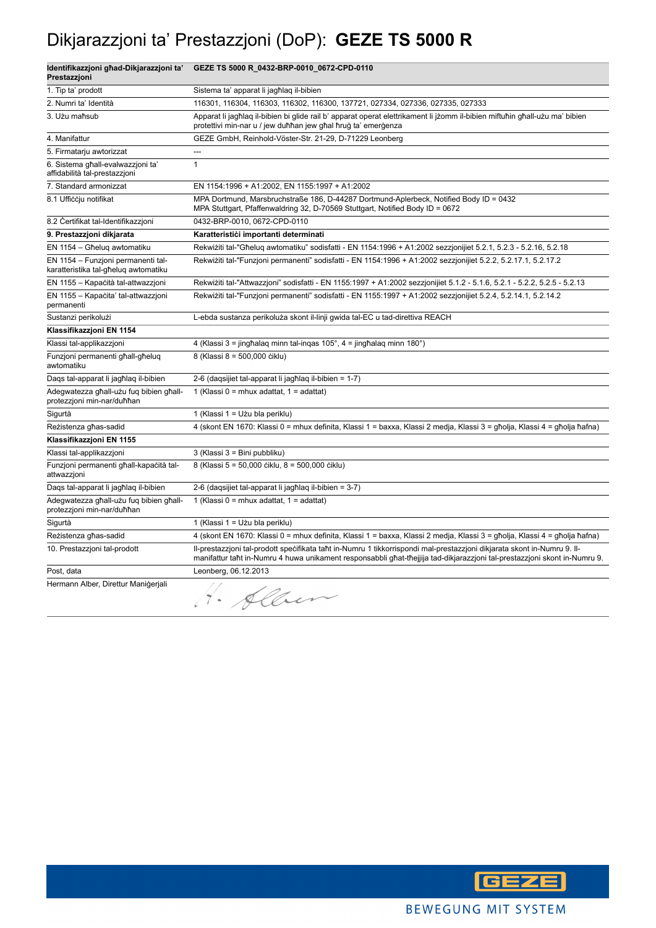## Dikjarazzjoni ta' Prestazzjoni (DoP): **GEZE TS 5000 R**

| Identifikazzjoni ghad-Dikjarazzjoni ta'<br>Prestazzjoni                    | GEZE TS 5000 R_0432-BRP-0010_0672-CPD-0110                                                                                                                                                                                                           |
|----------------------------------------------------------------------------|------------------------------------------------------------------------------------------------------------------------------------------------------------------------------------------------------------------------------------------------------|
| 1. Tip ta' prodott                                                         | Sistema ta' apparat li jagħlag il-bibien                                                                                                                                                                                                             |
| 2. Numri ta' Identità                                                      | 116301, 116304, 116303, 116302, 116300, 137721, 027334, 027336, 027335, 027333                                                                                                                                                                       |
| 3. Użu maħsub                                                              | Apparat li jagħlaq il-bibien bi glide rail b' apparat operat elettrikament li jżomm il-bibien miftuħin għall-użu ma' bibien<br>protettivi min-nar u / jew duħħan jew għal ħruġ ta' emerġenza                                                         |
| 4. Manifattur                                                              | GEZE GmbH, Reinhold-Vöster-Str. 21-29, D-71229 Leonberg                                                                                                                                                                                              |
| 5. Firmatarju awtorizzat                                                   | $\overline{a}$                                                                                                                                                                                                                                       |
| 6. Sistema għall-evalwazzjoni ta'<br>affidabilità tal-prestazzioni         | $\mathbf{1}$                                                                                                                                                                                                                                         |
| 7. Standard armonizzat                                                     | EN 1154:1996 + A1:2002, EN 1155:1997 + A1:2002                                                                                                                                                                                                       |
| 8.1 Ufficcju notifikat                                                     | MPA Dortmund, Marsbruchstraße 186, D-44287 Dortmund-Aplerbeck, Notified Body ID = 0432<br>MPA Stuttgart, Pfaffenwaldring 32, D-70569 Stuttgart, Notified Body ID = 0672                                                                              |
| 8.2 Certifikat tal-Identifikazzjoni                                        | 0432-BRP-0010, 0672-CPD-0110                                                                                                                                                                                                                         |
| 9. Prestazzjoni dikjarata                                                  | Karatteristići importanti determinati                                                                                                                                                                                                                |
| EN 1154 - Għelug awtomatiku                                                | Rekwiżiti tal-"Għeluq awtomatiku" sodisfatti - EN 1154:1996 + A1:2002 sezzjonijiet 5.2.1, 5.2.3 - 5.2.16, 5.2.18                                                                                                                                     |
| EN 1154 - Funzjoni permanenti tal-<br>karatteristika tal-għeluq awtomatiku | Rekwiżiti tal-"Funzjoni permanenti" sodisfatti - EN 1154:1996 + A1:2002 sezzjonijiet 5.2.2, 5.2.17.1, 5.2.17.2                                                                                                                                       |
| EN 1155 - Kapacità tal-attwazzjoni                                         | Rekwiżiti tal-"Attwazzjoni" sodisfatti - EN 1155:1997 + A1:2002 sezzjonijiet 5.1.2 - 5.1.6, 5.2.1 - 5.2.2, 5.2.5 - 5.2.13                                                                                                                            |
| EN 1155 - Kapacita' tal-attwazzjoni<br>permanenti                          | Rekwiżiti tal-"Funzjoni permanenti" sodisfatti - EN 1155:1997 + A1:2002 sezzjonijiet 5.2.4, 5.2.14.1, 5.2.14.2                                                                                                                                       |
| Sustanzi perikolużi                                                        | L-ebda sustanza perikoluża skont il-linji gwida tal-EC u tad-direttiva REACH                                                                                                                                                                         |
| Klassifikazzjoni EN 1154                                                   |                                                                                                                                                                                                                                                      |
| Klassi tal-applikazzjoni                                                   | 4 (Klassi 3 = jingħalaq minn tal-inqas 105°, 4 = jingħalaq minn 180°)                                                                                                                                                                                |
| Funzjoni permanenti ghall-gheluq<br>awtomatiku                             | 8 (Klassi 8 = 500,000 čiklu)                                                                                                                                                                                                                         |
| Daqs tal-apparat li jagħlaq il-bibien                                      | 2-6 (daqsijiet tal-apparat li jagħlaq il-bibien = 1-7)                                                                                                                                                                                               |
| Adegwatezza għall-użu fuq bibien għall-<br>protezzjoni min-nar/duħħan      | 1 (Klassi 0 = mhux adattat, 1 = adattat)                                                                                                                                                                                                             |
| Sigurtà                                                                    | 1 (Klassi 1 = Użu bla periklu)                                                                                                                                                                                                                       |
| Rezistenza għas-sadid                                                      | 4 (skont EN 1670: Klassi 0 = mhux definita, Klassi 1 = baxxa, Klassi 2 medja, Klassi 3 = għolja, Klassi 4 = għolja ħafna)                                                                                                                            |
| Klassifikazzjoni EN 1155                                                   |                                                                                                                                                                                                                                                      |
| Klassi tal-applikazzjoni                                                   | 3 (Klassi 3 = Bini pubbliku)                                                                                                                                                                                                                         |
| Funzjoni permanenti għall-kapaċità tal-<br>attwazzjoni                     | 8 (Klassi 5 = 50,000 ciklu, 8 = 500,000 ciklu)                                                                                                                                                                                                       |
| Daqs tal-apparat li jagħlaq il-bibien                                      | 2-6 (daqsijiet tal-apparat li jagħlaq il-bibien = 3-7)                                                                                                                                                                                               |
| Adegwatezza għall-użu fuq bibien għall-<br>protezzjoni min-nar/duħħan      | 1 (Klassi 0 = mhux adattat, 1 = adattat)                                                                                                                                                                                                             |
| Sigurtà                                                                    | 1 (Klassi 1 = Użu bla periklu)                                                                                                                                                                                                                       |
| Rezistenza għas-sadid                                                      | 4 (skont EN 1670: Klassi 0 = mhux definita, Klassi 1 = baxxa, Klassi 2 medja, Klassi 3 = għolja, Klassi 4 = għolja ħafna)                                                                                                                            |
| 10. Prestazzjoni tal-prodott                                               | II-prestazzjoni tal-prodott specifikata taht in-Numru 1 tikkorrispondi mal-prestazzjoni dikjarata skont in-Numru 9. II-<br>manifattur taht in-Numru 4 huwa unikament responsabbli ghat-thejjija tad-dikjarazzjoni tal-prestazzjoni skont in-Numru 9. |
| Post, data                                                                 | Leonberg, 06.12.2013                                                                                                                                                                                                                                 |
| Hermann Alber, Direttur Manigerjali                                        | H. Alber                                                                                                                                                                                                                                             |

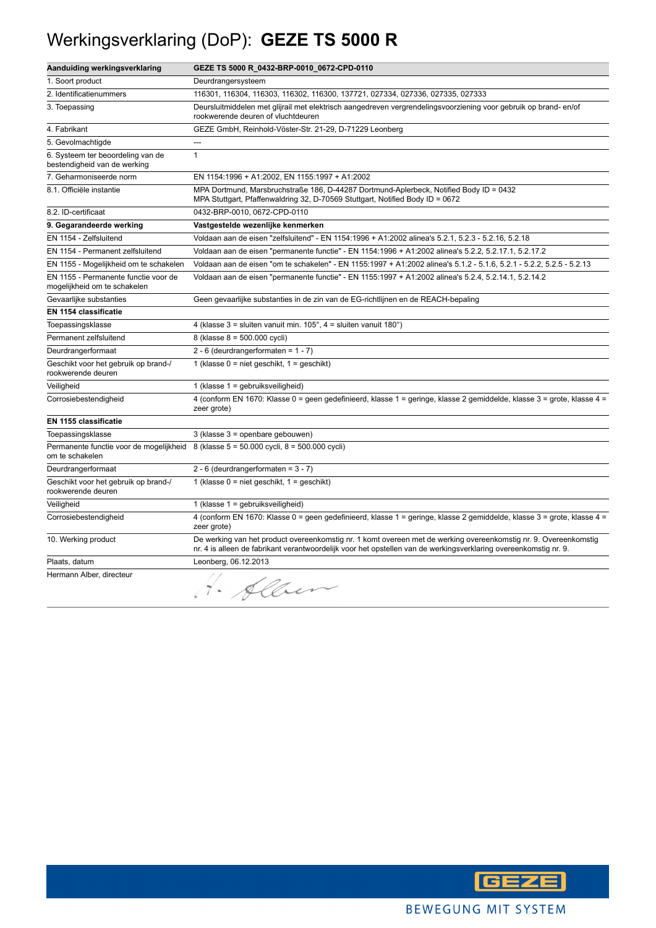## Werkingsverklaring (DoP): **GEZE TS 5000 R**

| Aanduiding werkingsverklaring                                        | GEZE TS 5000 R_0432-BRP-0010_0672-CPD-0110                                                                                                                                                                                           |
|----------------------------------------------------------------------|--------------------------------------------------------------------------------------------------------------------------------------------------------------------------------------------------------------------------------------|
| 1. Soort product                                                     | Deurdrangersysteem                                                                                                                                                                                                                   |
| 2. Identificatienummers                                              | 116301, 116304, 116303, 116302, 116300, 137721, 027334, 027336, 027335, 027333                                                                                                                                                       |
| 3. Toepassing                                                        | Deursluitmiddelen met glijrail met elektrisch aangedreven vergrendelingsvoorziening voor gebruik op brand-en/of<br>rookwerende deuren of vluchtdeuren                                                                                |
| 4. Fabrikant                                                         | GEZE GmbH, Reinhold-Vöster-Str. 21-29, D-71229 Leonberg                                                                                                                                                                              |
| 5. Gevolmachtigde                                                    |                                                                                                                                                                                                                                      |
| 6. Systeem ter beoordeling van de<br>bestendigheid van de werking    | $\mathbf{1}$                                                                                                                                                                                                                         |
| 7. Geharmoniseerde norm                                              | EN 1154:1996 + A1:2002, EN 1155:1997 + A1:2002                                                                                                                                                                                       |
| 8.1. Officiële instantie                                             | MPA Dortmund, Marsbruchstraße 186, D-44287 Dortmund-Aplerbeck, Notified Body ID = 0432<br>MPA Stuttgart, Pfaffenwaldring 32, D-70569 Stuttgart, Notified Body ID = 0672                                                              |
| 8.2. ID-certificaat                                                  | 0432-BRP-0010, 0672-CPD-0110                                                                                                                                                                                                         |
| 9. Gegarandeerde werking                                             | Vastgestelde wezenlijke kenmerken                                                                                                                                                                                                    |
| EN 1154 - Zelfsluitend                                               | Voldaan aan de eisen "zelfsluitend" - EN 1154:1996 + A1:2002 alinea's 5.2.1, 5.2.3 - 5.2.16, 5.2.18                                                                                                                                  |
| EN 1154 - Permanent zelfsluitend                                     | Voldaan aan de eisen "permanente functie" - EN 1154:1996 + A1:2002 alinea's 5.2.2, 5.2.17.1, 5.2.17.2                                                                                                                                |
| EN 1155 - Mogelijkheid om te schakelen                               | Voldaan aan de eisen "om te schakelen" - EN 1155:1997 + A1:2002 alinea's 5.1.2 - 5.1.6, 5.2.1 - 5.2.2, 5.2.5 - 5.2.13                                                                                                                |
| EN 1155 - Permanente functie voor de<br>mogelijkheid om te schakelen | Voldaan aan de eisen "permanente functie" - EN 1155:1997 + A1:2002 alinea's 5.2.4, 5.2.14.1, 5.2.14.2                                                                                                                                |
| Gevaarlijke substanties                                              | Geen gevaarlijke substanties in de zin van de EG-richtlijnen en de REACH-bepaling                                                                                                                                                    |
| <b>EN 1154 classificatie</b>                                         |                                                                                                                                                                                                                                      |
| Toepassingsklasse                                                    | 4 (klasse $3 =$ sluiten vanuit min. $105^\circ$ , $4 =$ sluiten vanuit $180^\circ$ )                                                                                                                                                 |
| Permanent zelfsluitend                                               | 8 (klasse 8 = 500.000 cycli)                                                                                                                                                                                                         |
| Deurdrangerformaat                                                   | $2 - 6$ (deurdrangerformaten = 1 - 7)                                                                                                                                                                                                |
| Geschikt voor het gebruik op brand-/<br>rookwerende deuren           | 1 (klasse $0 =$ niet geschikt, $1 =$ geschikt)                                                                                                                                                                                       |
| Veiligheid                                                           | 1 (klasse 1 = gebruiksveiligheid)                                                                                                                                                                                                    |
| Corrosiebestendigheid                                                | 4 (conform EN 1670: Klasse 0 = geen gedefinieerd, klasse 1 = geringe, klasse 2 gemiddelde, klasse 3 = grote, klasse 4 =<br>zeer grote)                                                                                               |
| EN 1155 classificatie                                                |                                                                                                                                                                                                                                      |
| Toepassingsklasse                                                    | 3 (klasse 3 = openbare gebouwen)                                                                                                                                                                                                     |
| om te schakelen                                                      | Permanente functie voor de mogelijkheid 8 (klasse 5 = 50.000 cycli, 8 = 500.000 cycli)                                                                                                                                               |
| Deurdrangerformaat                                                   | 2 - 6 (deurdrangerformaten = $3 - 7$ )                                                                                                                                                                                               |
| Geschikt voor het gebruik op brand-/<br>rookwerende deuren           | 1 (klasse $0 =$ niet geschikt, $1 =$ geschikt)                                                                                                                                                                                       |
| Veiligheid                                                           | 1 (klasse 1 = gebruiksveiligheid)                                                                                                                                                                                                    |
| Corrosiebestendigheid                                                | 4 (conform EN 1670: Klasse 0 = geen gedefinieerd, klasse 1 = geringe, klasse 2 gemiddelde, klasse 3 = grote, klasse 4 =<br>zeer grote)                                                                                               |
| 10. Werking product                                                  | De werking van het product overeenkomstig nr. 1 komt overeen met de werking overeenkomstig nr. 9. Overeenkomstig<br>nr. 4 is alleen de fabrikant verantwoordelijk voor het opstellen van de werkingsverklaring overeenkomstig nr. 9. |
| Plaats, datum                                                        | Leonberg, 06.12.2013                                                                                                                                                                                                                 |
| Hermann Alber, directeur                                             | H. Alben                                                                                                                                                                                                                             |

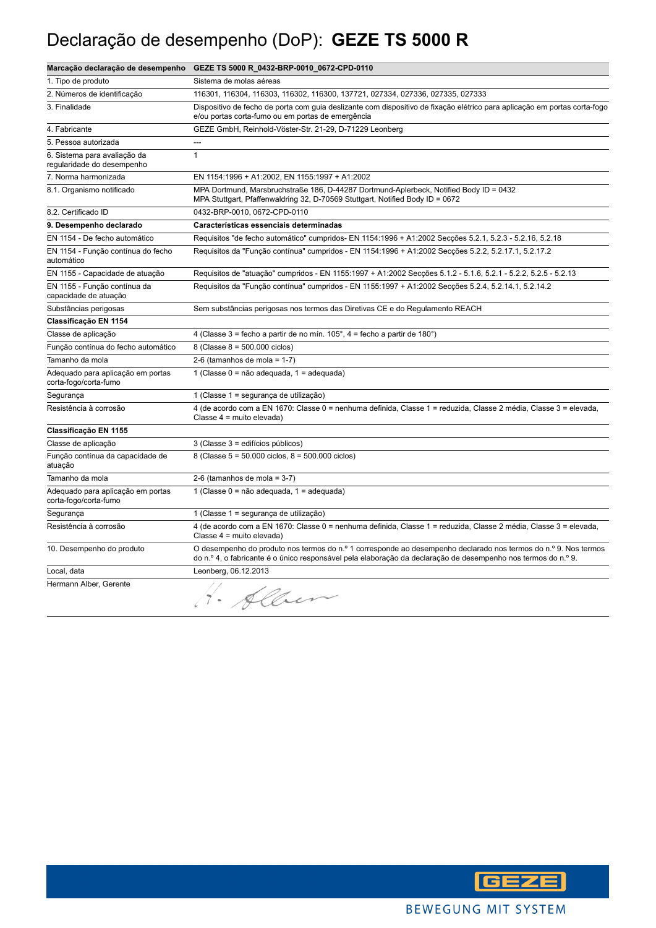## Declaração de desempenho (DoP): **GEZE TS 5000 R**

|                                                            | Marcação declaração de desempenho GEZE TS 5000 R_0432-BRP-0010_0672-CPD-0110                                                                                                                                                     |
|------------------------------------------------------------|----------------------------------------------------------------------------------------------------------------------------------------------------------------------------------------------------------------------------------|
| 1. Tipo de produto                                         | Sistema de molas aéreas                                                                                                                                                                                                          |
| 2. Números de identificação                                | 116301, 116304, 116303, 116302, 116300, 137721, 027334, 027336, 027335, 027333                                                                                                                                                   |
| 3. Finalidade                                              | Dispositivo de fecho de porta com guia deslizante com dispositivo de fixação elétrico para aplicação em portas corta-fogo<br>e/ou portas corta-fumo ou em portas de emergência                                                   |
| 4. Fabricante                                              | GEZE GmbH, Reinhold-Vöster-Str. 21-29, D-71229 Leonberg                                                                                                                                                                          |
| 5. Pessoa autorizada                                       | ---                                                                                                                                                                                                                              |
| 6. Sistema para avaliação da<br>regularidade do desempenho | $\mathbf{1}$                                                                                                                                                                                                                     |
| 7. Norma harmonizada                                       | EN 1154:1996 + A1:2002, EN 1155:1997 + A1:2002                                                                                                                                                                                   |
| 8.1. Organismo notificado                                  | MPA Dortmund, Marsbruchstraße 186, D-44287 Dortmund-Aplerbeck, Notified Body ID = 0432<br>MPA Stuttgart, Pfaffenwaldring 32, D-70569 Stuttgart, Notified Body ID = 0672                                                          |
| 8.2. Certificado ID                                        | 0432-BRP-0010, 0672-CPD-0110                                                                                                                                                                                                     |
| 9. Desempenho declarado                                    | Características essenciais determinadas                                                                                                                                                                                          |
| EN 1154 - De fecho automático                              | Requisitos "de fecho automático" cumpridos- EN 1154:1996 + A1:2002 Secções 5.2.1, 5.2.3 - 5.2.16, 5.2.18                                                                                                                         |
| EN 1154 - Função contínua do fecho<br>automático           | Requisitos da "Função contínua" cumpridos - EN 1154:1996 + A1:2002 Secções 5.2.2, 5.2.17.1, 5.2.17.2                                                                                                                             |
| EN 1155 - Capacidade de atuação                            | Requisitos de "atuação" cumpridos - EN 1155:1997 + A1:2002 Secções 5.1.2 - 5.1.6, 5.2.1 - 5.2.2, 5.2.5 - 5.2.13                                                                                                                  |
| EN 1155 - Função contínua da<br>capacidade de atuação      | Requisitos da "Função contínua" cumpridos - EN 1155:1997 + A1:2002 Secções 5.2.4, 5.2.14.1, 5.2.14.2                                                                                                                             |
| Substâncias perigosas                                      | Sem substâncias perigosas nos termos das Diretivas CE e do Regulamento REACH                                                                                                                                                     |
| Classificação EN 1154                                      |                                                                                                                                                                                                                                  |
| Classe de aplicação                                        | 4 (Classe 3 = fecho a partir de no mín. $105^\circ$ , 4 = fecho a partir de $180^\circ$ )                                                                                                                                        |
| Função contínua do fecho automático                        | 8 (Classe $8 = 500.000$ ciclos)                                                                                                                                                                                                  |
| Tamanho da mola                                            | 2-6 (tamanhos de mola = $1-7$ )                                                                                                                                                                                                  |
| Adequado para aplicação em portas<br>corta-fogo/corta-fumo | 1 (Classe 0 = não adequada, 1 = adequada)                                                                                                                                                                                        |
| Segurança                                                  | 1 (Classe 1 = segurança de utilização)                                                                                                                                                                                           |
| Resistência à corrosão                                     | 4 (de acordo com a EN 1670: Classe 0 = nenhuma definida, Classe 1 = reduzida, Classe 2 média, Classe 3 = elevada,<br>Classe 4 = muito elevada)                                                                                   |
| Classificação EN 1155                                      |                                                                                                                                                                                                                                  |
| Classe de aplicação                                        | 3 (Classe 3 = edifícios públicos)                                                                                                                                                                                                |
| Função contínua da capacidade de<br>atuação                | 8 (Classe $5 = 50.000$ ciclos, $8 = 500.000$ ciclos)                                                                                                                                                                             |
| Tamanho da mola                                            | 2-6 (tamanhos de mola = $3-7$ )                                                                                                                                                                                                  |
| Adequado para aplicação em portas<br>corta-fogo/corta-fumo | 1 (Classe $0 =$ não adequada, $1 =$ adequada)                                                                                                                                                                                    |
| Segurança                                                  | 1 (Classe 1 = segurança de utilização)                                                                                                                                                                                           |
| Resistência à corrosão                                     | 4 (de acordo com a EN 1670: Classe 0 = nenhuma definida, Classe 1 = reduzida, Classe 2 média, Classe 3 = elevada,<br>Classe 4 = muito elevada)                                                                                   |
| 10. Desempenho do produto                                  | O desempenho do produto nos termos do n.º 1 corresponde ao desempenho declarado nos termos do n.º 9. Nos termos<br>do n.º 4, o fabricante é o único responsável pela elaboração da declaração de desempenho nos termos do n.º 9. |
| Local, data                                                | Leonberg, 06.12.2013                                                                                                                                                                                                             |
| Hermann Alber, Gerente                                     | Albert                                                                                                                                                                                                                           |

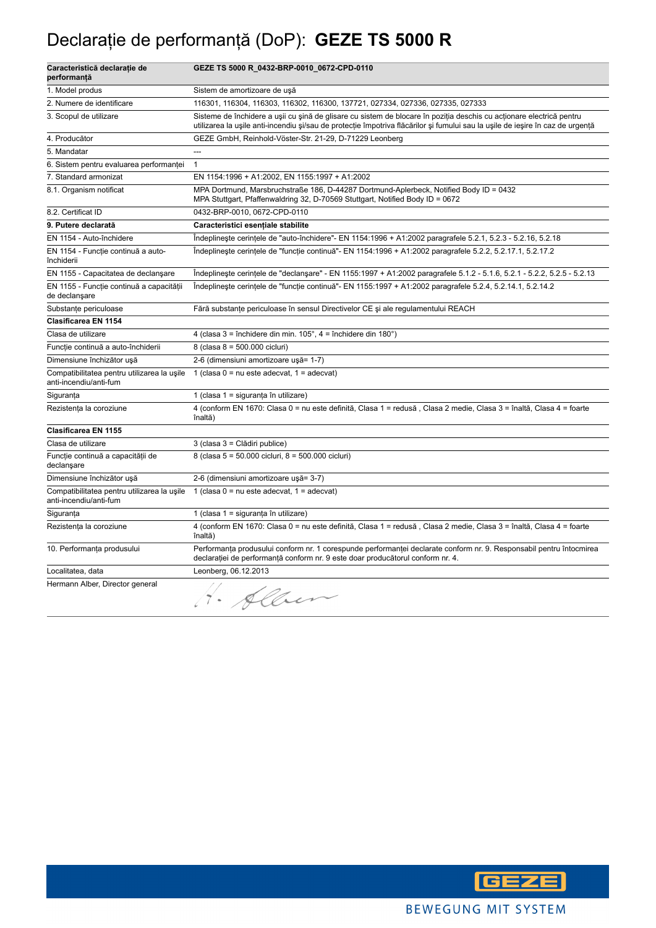## Declaraţie de performanţă (DoP): **GEZE TS 5000 R**

| Caracteristică declarație de<br>performanță                           | GEZE TS 5000 R_0432-BRP-0010_0672-CPD-0110                                                                                                                                                                                                             |
|-----------------------------------------------------------------------|--------------------------------------------------------------------------------------------------------------------------------------------------------------------------------------------------------------------------------------------------------|
| 1. Model produs                                                       | Sistem de amortizoare de uşă                                                                                                                                                                                                                           |
| 2. Numere de identificare                                             | 116301, 116304, 116303, 116302, 116300, 137721, 027334, 027336, 027335, 027333                                                                                                                                                                         |
| 3. Scopul de utilizare                                                | Sisteme de închidere a ușii cu șină de glisare cu sistem de blocare în poziția deschis cu acționare electrică pentru<br>utilizarea la ușile anti-incendiu și/sau de protecție împotriva flăcărilor și fumului sau la ușile de ieșire în caz de urgență |
| 4. Producător                                                         | GEZE GmbH, Reinhold-Vöster-Str. 21-29, D-71229 Leonberg                                                                                                                                                                                                |
| 5. Mandatar                                                           | $\overline{a}$                                                                                                                                                                                                                                         |
| 6. Sistem pentru evaluarea performanței                               | $\mathbf{1}$                                                                                                                                                                                                                                           |
| 7. Standard armonizat                                                 | EN 1154:1996 + A1:2002, EN 1155:1997 + A1:2002                                                                                                                                                                                                         |
| 8.1. Organism notificat                                               | MPA Dortmund, Marsbruchstraße 186, D-44287 Dortmund-Aplerbeck, Notified Body ID = 0432<br>MPA Stuttgart, Pfaffenwaldring 32, D-70569 Stuttgart, Notified Body ID = 0672                                                                                |
| 8.2. Certificat ID                                                    | 0432-BRP-0010, 0672-CPD-0110                                                                                                                                                                                                                           |
| 9. Putere declarată                                                   | Caracteristici esentiale stabilite                                                                                                                                                                                                                     |
| EN 1154 - Auto-închidere                                              | Îndeplinește cerințele de "auto-închidere"- EN 1154:1996 + A1:2002 paragrafele 5.2.1, 5.2.3 - 5.2.16, 5.2.18                                                                                                                                           |
| EN 1154 - Funcție continuă a auto-<br>închiderii                      | Îndeplinește cerințele de "funcție continuă"- EN 1154:1996 + A1:2002 paragrafele 5.2.2, 5.2.17.1, 5.2.17.2                                                                                                                                             |
| EN 1155 - Capacitatea de declanşare                                   | Îndeplinește cerințele de "declanșare" - EN 1155:1997 + A1:2002 paragrafele 5.1.2 - 5.1.6, 5.2.1 - 5.2.2, 5.2.5 - 5.2.13                                                                                                                               |
| EN 1155 - Funcție continuă a capacității<br>de declanşare             | Îndeplinește cerințele de "funcție continuă"- EN 1155:1997 + A1:2002 paragrafele 5.2.4, 5.2.14.1, 5.2.14.2                                                                                                                                             |
| Substanțe periculoase                                                 | Fără substanțe periculoase în sensul Directivelor CE și ale regulamentului REACH                                                                                                                                                                       |
| Clasificarea EN 1154                                                  |                                                                                                                                                                                                                                                        |
| Clasa de utilizare                                                    | 4 (clasa $3 =$ închidere din min. $105^\circ$ , $4 =$ închidere din $180^\circ$ )                                                                                                                                                                      |
| Funcție continuă a auto-închiderii                                    | 8 (clasa 8 = 500.000 cicluri)                                                                                                                                                                                                                          |
| Dimensiune închizător ușă                                             | 2-6 (dimensiuni amortizoare ușă= 1-7)                                                                                                                                                                                                                  |
| Compatibilitatea pentru utilizarea la usile<br>anti-incendiu/anti-fum | 1 (clasa $0 = nu$ este adecvat, $1 = adecvat$ )                                                                                                                                                                                                        |
| Siguranța                                                             | 1 (clasa 1 = siguranța în utilizare)                                                                                                                                                                                                                   |
| Rezistența la coroziune                                               | 4 (conform EN 1670: Clasa 0 = nu este definită, Clasa 1 = redusă, Clasa 2 medie, Clasa 3 = înaltă, Clasa 4 = foarte<br>înaltă)                                                                                                                         |
| Clasificarea EN 1155                                                  |                                                                                                                                                                                                                                                        |
| Clasa de utilizare                                                    | 3 (clasa 3 = Clădiri publice)                                                                                                                                                                                                                          |
| Funcție continuă a capacității de<br>declanşare                       | 8 (clasa 5 = 50.000 cicluri, 8 = 500.000 cicluri)                                                                                                                                                                                                      |
| Dimensiune închizător ușă                                             | 2-6 (dimensiuni amortizoare ușă= 3-7)                                                                                                                                                                                                                  |
| Compatibilitatea pentru utilizarea la usile<br>anti-incendiu/anti-fum | 1 (clasa $0 = nu$ este adecvat, $1 = adecvat$ )                                                                                                                                                                                                        |
| Siguranța                                                             | 1 (clasa 1 = siguranța în utilizare)                                                                                                                                                                                                                   |
| Rezistența la coroziune                                               | 4 (conform EN 1670: Clasa 0 = nu este definită, Clasa 1 = redusă, Clasa 2 medie, Clasa 3 = înaltă, Clasa 4 = foarte<br>înaltă)                                                                                                                         |
| 10. Performanța produsului                                            | Performanța produsului conform nr. 1 corespunde performanței declarate conform nr. 9. Responsabil pentru întocmirea<br>declarației de performanță conform nr. 9 este doar producătorul conform nr. 4.                                                  |
| Localitatea, data                                                     | Leonberg, 06.12.2013                                                                                                                                                                                                                                   |
| Hermann Alber, Director general                                       | Alber<br>$\hat{\mathcal{A}}$                                                                                                                                                                                                                           |

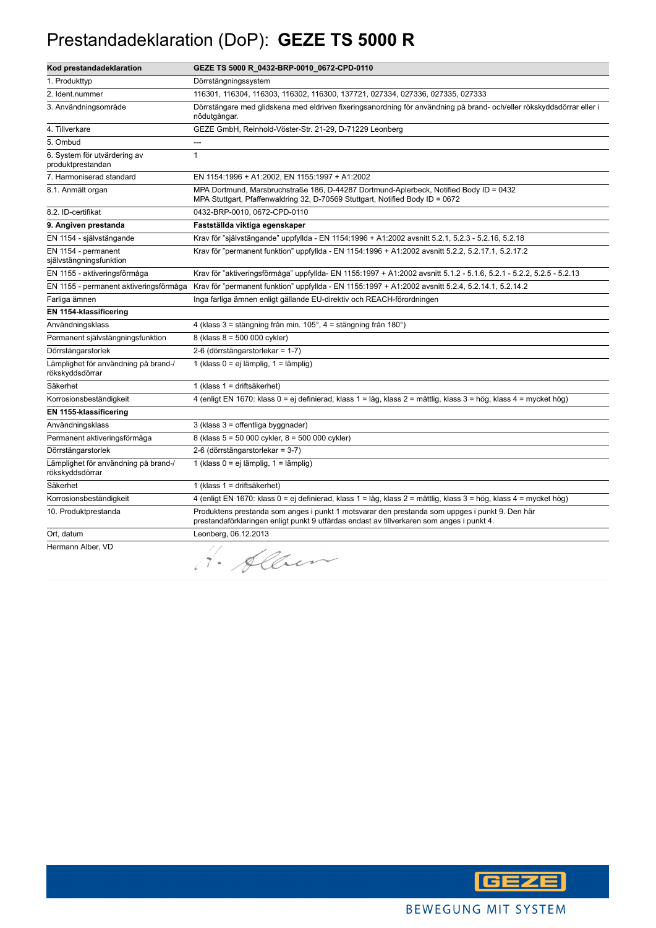#### Prestandadeklaration (DoP): **GEZE TS 5000 R**

| Kod prestandadeklaration                                | GEZE TS 5000 R_0432-BRP-0010_0672-CPD-0110                                                                                                                                                  |
|---------------------------------------------------------|---------------------------------------------------------------------------------------------------------------------------------------------------------------------------------------------|
| 1. Produkttyp                                           | Dörrstängningssystem                                                                                                                                                                        |
| 2. Ident.nummer                                         | 116301, 116304, 116303, 116302, 116300, 137721, 027334, 027336, 027335, 027333                                                                                                              |
| 3. Användningsområde                                    | Dörrstängare med glidskena med eldriven fixeringsanordning för användning på brand- och/eller rökskyddsdörrar eller i<br>nödutgångar.                                                       |
| 4. Tillverkare                                          | GEZE GmbH, Reinhold-Vöster-Str. 21-29, D-71229 Leonberg                                                                                                                                     |
| 5. Ombud                                                | ---                                                                                                                                                                                         |
| 6. System för utvärdering av<br>produktprestandan       | $\mathbf{1}$                                                                                                                                                                                |
| 7. Harmoniserad standard                                | EN 1154:1996 + A1:2002, EN 1155:1997 + A1:2002                                                                                                                                              |
| 8.1. Anmält organ                                       | MPA Dortmund, Marsbruchstraße 186, D-44287 Dortmund-Aplerbeck, Notified Body ID = 0432<br>MPA Stuttgart, Pfaffenwaldring 32, D-70569 Stuttgart, Notified Body ID = 0672                     |
| 8.2. ID-certifikat                                      | 0432-BRP-0010, 0672-CPD-0110                                                                                                                                                                |
| 9. Angiven prestanda                                    | Fastställda viktiga egenskaper                                                                                                                                                              |
| EN 1154 - självstängande                                | Krav för "självstängande" uppfyllda - EN 1154:1996 + A1:2002 avsnitt 5.2.1, 5.2.3 - 5.2.16, 5.2.18                                                                                          |
| EN 1154 - permanent<br>självstängningsfunktion          | Krav för "permanent funktion" uppfyllda - EN 1154:1996 + A1:2002 avsnitt 5.2.2, 5.2.17.1, 5.2.17.2                                                                                          |
| EN 1155 - aktiveringsförmåga                            | Krav för "aktiveringsförmåga" uppfyllda- EN 1155:1997 + A1:2002 avsnitt 5.1.2 - 5.1.6, 5.2.1 - 5.2.2, 5.2.5 - 5.2.13                                                                        |
| EN 1155 - permanent aktiveringsförmåga                  | Krav för "permanent funktion" uppfyllda - EN 1155:1997 + A1:2002 avsnitt 5.2.4, 5.2.14.1, 5.2.14.2                                                                                          |
| Farliga ämnen                                           | Inga farliga ämnen enligt gällande EU-direktiv och REACH-förordningen                                                                                                                       |
| EN 1154-klassificering                                  |                                                                                                                                                                                             |
| Användningsklass                                        | 4 (klass 3 = stängning från min. 105°, 4 = stängning från 180°)                                                                                                                             |
| Permanent självstängningsfunktion                       | 8 (klass 8 = 500 000 cykler)                                                                                                                                                                |
| Dörrstängarstorlek                                      | 2-6 (dörrstängarstorlekar = 1-7)                                                                                                                                                            |
| Lämplighet för användning på brand-/<br>rökskyddsdörrar | 1 (klass 0 = ej lämplig, 1 = lämplig)                                                                                                                                                       |
| Säkerhet                                                | 1 (klass 1 = driftsäkerhet)                                                                                                                                                                 |
| Korrosionsbeständigkeit                                 | 4 (enligt EN 1670: klass 0 = ej definierad, klass 1 = låg, klass 2 = måttlig, klass 3 = hög, klass 4 = mycket hög)                                                                          |
| EN 1155-klassificering                                  |                                                                                                                                                                                             |
| Användningsklass                                        | 3 (klass 3 = offentliga byggnader)                                                                                                                                                          |
| Permanent aktiveringsförmåga                            | 8 (klass 5 = 50 000 cykler, 8 = 500 000 cykler)                                                                                                                                             |
| Dörrstängarstorlek                                      | 2-6 (dörrstängarstorlekar = 3-7)                                                                                                                                                            |
| Lämplighet för användning på brand-/<br>rökskyddsdörrar | 1 (klass 0 = ej lämplig, 1 = lämplig)                                                                                                                                                       |
| Säkerhet                                                | 1 (klass 1 = driftsäkerhet)                                                                                                                                                                 |
| Korrosionsbeständigkeit                                 | 4 (enligt EN 1670: klass 0 = ej definierad, klass 1 = låg, klass 2 = måttlig, klass 3 = hög, klass 4 = mycket hög)                                                                          |
| 10. Produktprestanda                                    | Produktens prestanda som anges i punkt 1 motsvarar den prestanda som uppges i punkt 9. Den här<br>prestandaförklaringen enligt punkt 9 utfärdas endast av tillverkaren som anges i punkt 4. |
| Ort, datum                                              | Leonberg, 06.12.2013                                                                                                                                                                        |
| Hermann Alber, VD                                       | H. Alber                                                                                                                                                                                    |

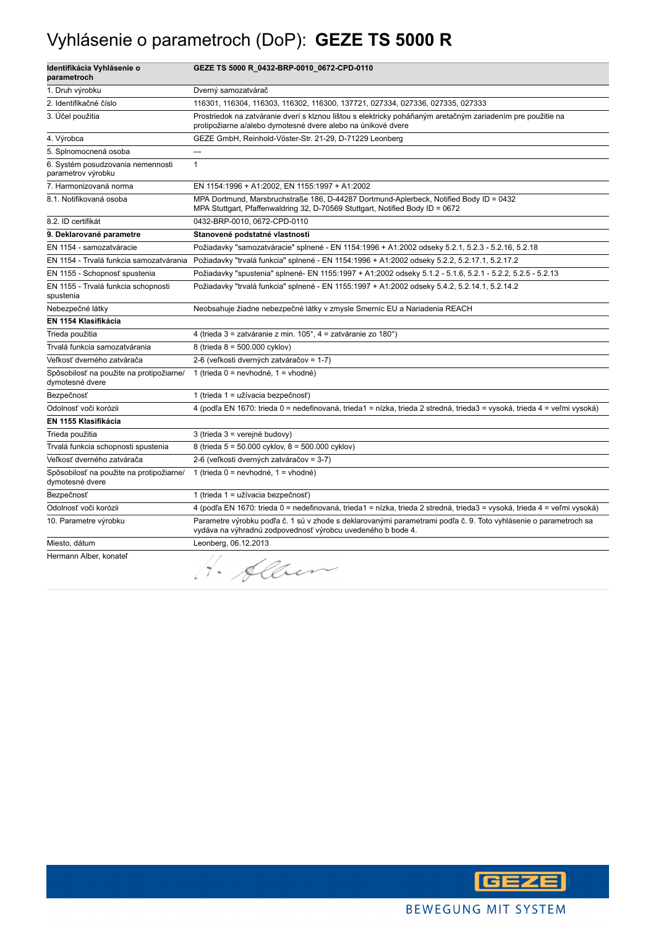## Vyhlásenie o parametroch (DoP): **GEZE TS 5000 R**

| Identifikácia Vyhlásenie o<br>parametroch                   | GEZE TS 5000 R_0432-BRP-0010_0672-CPD-0110                                                                                                                                      |
|-------------------------------------------------------------|---------------------------------------------------------------------------------------------------------------------------------------------------------------------------------|
| 1. Druh výrobku                                             | Dverný samozatvárač                                                                                                                                                             |
| 2. Identifikačné číslo                                      | 116301, 116304, 116303, 116302, 116300, 137721, 027334, 027336, 027335, 027333                                                                                                  |
| 3. Účel použitia                                            | Prostriedok na zatváranie dverí s klznou lištou s elektricky poháňaným aretačným zariadením pre použitie na<br>protipožiarne a/alebo dymotesné dvere alebo na únikové dvere     |
| 4. Výrobca                                                  | GEZE GmbH, Reinhold-Vöster-Str. 21-29, D-71229 Leonberg                                                                                                                         |
| 5. Splnomocnená osoba                                       | ---                                                                                                                                                                             |
| 6. Systém posudzovania nemennosti<br>parametrov výrobku     | $\mathbf{1}$                                                                                                                                                                    |
| 7. Harmonizovaná norma                                      | EN 1154:1996 + A1:2002, EN 1155:1997 + A1:2002                                                                                                                                  |
| 8.1. Notifikovaná osoba                                     | MPA Dortmund, Marsbruchstraße 186, D-44287 Dortmund-Aplerbeck, Notified Body ID = 0432<br>MPA Stuttgart, Pfaffenwaldring 32, D-70569 Stuttgart, Notified Body ID = 0672         |
| 8.2. ID certifikát                                          | 0432-BRP-0010, 0672-CPD-0110                                                                                                                                                    |
| 9. Deklarované parametre                                    | Stanovené podstatné vlastnosti                                                                                                                                                  |
| EN 1154 - samozatváracie                                    | Požiadavky "samozatváracie" splnené - EN 1154:1996 + A1:2002 odseky 5.2.1, 5.2.3 - 5.2.16, 5.2.18                                                                               |
| EN 1154 - Trvalá funkcia samozatvárania                     | Požiadavky "trvalá funkcia" splnené - EN 1154:1996 + A1:2002 odseky 5.2.2, 5.2.17.1, 5.2.17.2                                                                                   |
| EN 1155 - Schopnosť spustenia                               | Požiadavky "spustenia" splnené- EN 1155:1997 + A1:2002 odseky 5.1.2 - 5.1.6, 5.2.1 - 5.2.2, 5.2.5 - 5.2.13                                                                      |
| EN 1155 - Trvalá funkcia schopnosti<br>spustenia            | Požiadavky "trvalá funkcia" splnené - EN 1155:1997 + A1:2002 odseky 5.4.2, 5.2.14.1, 5.2.14.2                                                                                   |
| Nebezpečné látky                                            | Neobsahuje žiadne nebezpečné látky v zmysle Smerníc EU a Nariadenia REACH                                                                                                       |
| EN 1154 Klasifikácia                                        |                                                                                                                                                                                 |
| Trieda použitia                                             | 4 (trieda 3 = zatváranie z min. 105°, 4 = zatváranie zo 180°)                                                                                                                   |
| Trvalá funkcia samozatvárania                               | 8 (trieda 8 = 500.000 cyklov)                                                                                                                                                   |
| Veľkosť dverného zatvárača                                  | 2-6 (veľkosti dverných zatváračov = 1-7)                                                                                                                                        |
| Spôsobilosť na použite na protipožiarne/<br>dymotesné dvere | 1 (trieda $0 =$ nevhodné, 1 = vhodné)                                                                                                                                           |
| Bezpečnosť                                                  | 1 (trieda 1 = užívacia bezpečnosť)                                                                                                                                              |
| Odolnosť voči korózii                                       | 4 (podľa EN 1670: trieda 0 = nedefinovaná, trieda1 = nízka, trieda 2 stredná, trieda3 = vysoká, trieda 4 = veľmi vysoká)                                                        |
| EN 1155 Klasifikácia                                        |                                                                                                                                                                                 |
| Trieda použitia                                             | 3 (trieda 3 = verejné budovy)                                                                                                                                                   |
| Trvalá funkcia schopnosti spustenia                         | 8 (trieda 5 = 50.000 cyklov, 8 = 500.000 cyklov)                                                                                                                                |
| Veľkosť dverného zatvárača                                  | 2-6 (veľkosti dverných zatváračov = 3-7)                                                                                                                                        |
| Spôsobilosť na použite na protipožiarne/<br>dymotesné dvere | 1 (trieda $0 =$ nevhodné, 1 = vhodné)                                                                                                                                           |
| Bezpečnosť                                                  | 1 (trieda 1 = užívacia bezpečnosť)                                                                                                                                              |
| Odolnosť voči korózii                                       | 4 (podľa EN 1670: trieda 0 = nedefinovaná, trieda1 = nízka, trieda 2 stredná, trieda3 = vysoká, trieda 4 = veľmi vysoká)                                                        |
| 10. Parametre výrobku                                       | Parametre výrobku podľa č. 1 sú v zhode s deklarovanými parametrami podľa č. 9. Toto vyhlásenie o parametroch sa<br>vydáva na výhradnú zodpovednosť výrobcu uvedeného b bode 4. |
| Miesto, dátum                                               | Leonberg, 06.12.2013                                                                                                                                                            |
| Hermann Alber, konateľ                                      | H. Alben                                                                                                                                                                        |

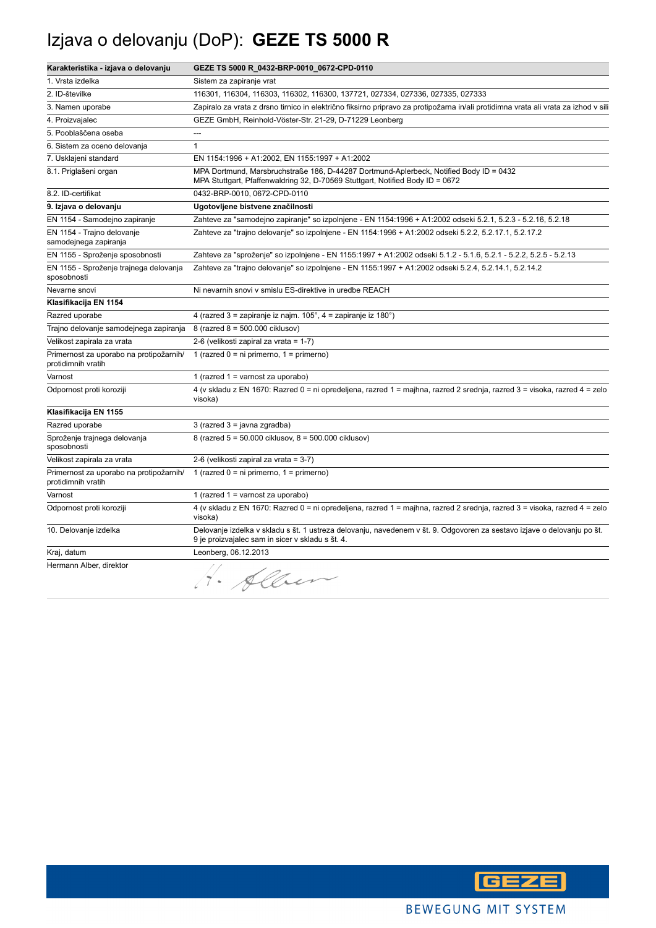## Izjava o delovanju (DoP): **GEZE TS 5000 R**

| Karakteristika - izjava o delovanju                           | GEZE TS 5000 R_0432-BRP-0010_0672-CPD-0110                                                                                                                                  |
|---------------------------------------------------------------|-----------------------------------------------------------------------------------------------------------------------------------------------------------------------------|
| 1. Vrsta izdelka                                              | Sistem za zapiranje vrat                                                                                                                                                    |
| 2. ID-številke                                                | 116301, 116304, 116303, 116302, 116300, 137721, 027334, 027336, 027335, 027333                                                                                              |
| 3. Namen uporabe                                              | Zapiralo za vrata z drsno tirnico in električno fiksirno pripravo za protipožarna in/ali protidimna vrata ali vrata za izhod v sili                                         |
| 4. Proizvajalec                                               | GEZE GmbH, Reinhold-Vöster-Str. 21-29, D-71229 Leonberg                                                                                                                     |
| 5. Pooblaščena oseba                                          | ---                                                                                                                                                                         |
| 6. Sistem za oceno delovanja                                  | $\mathbf{1}$                                                                                                                                                                |
| 7. Usklajeni standard                                         | EN 1154:1996 + A1:2002, EN 1155:1997 + A1:2002                                                                                                                              |
| 8.1. Priglašeni organ                                         | MPA Dortmund, Marsbruchstraße 186, D-44287 Dortmund-Aplerbeck, Notified Body ID = 0432<br>MPA Stuttgart, Pfaffenwaldring 32, D-70569 Stuttgart, Notified Body ID = 0672     |
| 8.2. ID-certifikat                                            | 0432-BRP-0010, 0672-CPD-0110                                                                                                                                                |
| 9. Izjava o delovanju                                         | Ugotovljene bistvene značilnosti                                                                                                                                            |
| EN 1154 - Samodejno zapiranje                                 | Zahteve za "samodejno zapiranje" so izpolnjene - EN 1154:1996 + A1:2002 odseki 5.2.1, 5.2.3 - 5.2.16, 5.2.18                                                                |
| EN 1154 - Trajno delovanje<br>samodejnega zapiranja           | Zahteve za "trajno delovanje" so izpolnjene - EN 1154:1996 + A1:2002 odseki 5.2.2, 5.2.17.1, 5.2.17.2                                                                       |
| EN 1155 - Sproženje sposobnosti                               | Zahteve za "sproženje" so izpolnjene - EN 1155:1997 + A1:2002 odseki 5.1.2 - 5.1.6, 5.2.1 - 5.2.2, 5.2.5 - 5.2.13                                                           |
| EN 1155 - Sproženje trajnega delovanja<br>sposobnosti         | Zahteve za "trajno delovanje" so izpolnjene - EN 1155:1997 + A1:2002 odseki 5.2.4, 5.2.14.1, 5.2.14.2                                                                       |
| Nevarne snovi                                                 | Ni nevarnih snovi v smislu ES-direktive in uredbe REACH                                                                                                                     |
| Klasifikacija EN 1154                                         |                                                                                                                                                                             |
| Razred uporabe                                                | 4 (razred 3 = zapiranje iz najm. $105^\circ$ , 4 = zapiranje iz 180 $^\circ$ )                                                                                              |
| Trajno delovanje samodejnega zapiranja                        | 8 (razred 8 = 500.000 ciklusov)                                                                                                                                             |
| Velikost zapirala za vrata                                    | 2-6 (velikosti zapiral za vrata = 1-7)                                                                                                                                      |
| Primernost za uporabo na protipožarnih/<br>protidimnih vratih | 1 (razred $0 = ni$ primerno, $1 = prime$ rno)                                                                                                                               |
| Varnost                                                       | 1 (razred 1 = varnost za uporabo)                                                                                                                                           |
| Odpornost proti koroziji                                      | 4 (v skladu z EN 1670: Razred 0 = ni opredeljena, razred 1 = majhna, razred 2 srednja, razred 3 = visoka, razred 4 = zelo<br>visoka)                                        |
| Klasifikacija EN 1155                                         |                                                                                                                                                                             |
| Razred uporabe                                                | 3 (razred 3 = javna zgradba)                                                                                                                                                |
| Sproženje trajnega delovanja<br>sposobnosti                   | 8 (razred 5 = 50.000 ciklusov, 8 = 500.000 ciklusov)                                                                                                                        |
| Velikost zapirala za vrata                                    | 2-6 (velikosti zapiral za vrata = 3-7)                                                                                                                                      |
| Primernost za uporabo na protipožarnih/<br>protidimnih vratih | 1 (razred $0 = ni$ primerno, $1 = p$ rimerno)                                                                                                                               |
| Varnost                                                       | 1 (razred $1 =$ varnost za uporabo)                                                                                                                                         |
| Odpornost proti koroziji                                      | 4 (v skladu z EN 1670: Razred 0 = ni opredeljena, razred 1 = majhna, razred 2 srednja, razred 3 = visoka, razred 4 = zelo<br>visoka)                                        |
| 10. Delovanje izdelka                                         | Delovanje izdelka v skladu s št. 1 ustreza delovanju, navedenem v št. 9. Odgovoren za sestavo izjave o delovanju po št.<br>9 je proizvajalec sam in sicer v skladu s št. 4. |
| Kraj, datum                                                   | Leonberg, 06.12.2013                                                                                                                                                        |
| Hermann Alber, direktor                                       | Alben                                                                                                                                                                       |

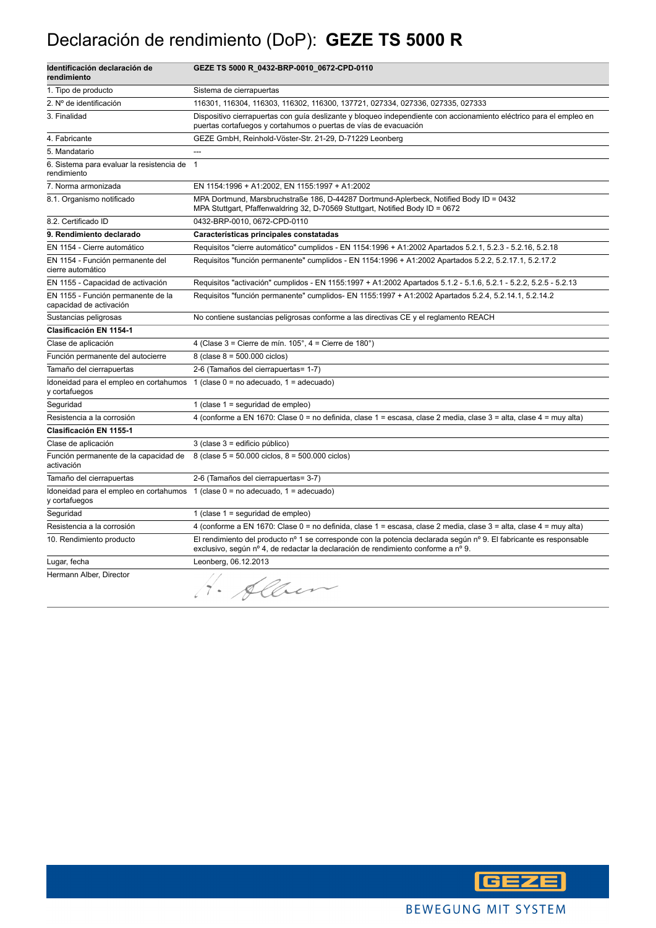## Declaración de rendimiento (DoP): **GEZE TS 5000 R**

| Identificación declaración de<br>rendimiento                  | GEZE TS 5000 R_0432-BRP-0010_0672-CPD-0110                                                                                                                                                              |
|---------------------------------------------------------------|---------------------------------------------------------------------------------------------------------------------------------------------------------------------------------------------------------|
| 1. Tipo de producto                                           | Sistema de cierrapuertas                                                                                                                                                                                |
| 2. Nº de identificación                                       | 116301, 116304, 116303, 116302, 116300, 137721, 027334, 027336, 027335, 027333                                                                                                                          |
| 3. Finalidad                                                  | Dispositivo cierrapuertas con guía deslizante y bloqueo independiente con accionamiento eléctrico para el empleo en<br>puertas cortafuegos y cortahumos o puertas de vías de evacuación                 |
| 4. Fabricante                                                 | GEZE GmbH, Reinhold-Vöster-Str. 21-29, D-71229 Leonberg                                                                                                                                                 |
| 5. Mandatario                                                 | $\sim$                                                                                                                                                                                                  |
| 6. Sistema para evaluar la resistencia de<br>rendimiento      | $\mathbf{1}$                                                                                                                                                                                            |
| 7. Norma armonizada                                           | EN 1154:1996 + A1:2002, EN 1155:1997 + A1:2002                                                                                                                                                          |
| 8.1. Organismo notificado                                     | MPA Dortmund, Marsbruchstraße 186, D-44287 Dortmund-Aplerbeck, Notified Body ID = 0432<br>MPA Stuttgart, Pfaffenwaldring 32, D-70569 Stuttgart, Notified Body ID = 0672                                 |
| 8.2. Certificado ID                                           | 0432-BRP-0010, 0672-CPD-0110                                                                                                                                                                            |
| 9. Rendimiento declarado                                      | Características principales constatadas                                                                                                                                                                 |
| EN 1154 - Cierre automático                                   | Requisitos "cierre automático" cumplidos - EN 1154:1996 + A1:2002 Apartados 5.2.1, 5.2.3 - 5.2.16, 5.2.18                                                                                               |
| EN 1154 - Función permanente del<br>cierre automático         | Requisitos "función permanente" cumplidos - EN 1154:1996 + A1:2002 Apartados 5.2.2, 5.2.17.1, 5.2.17.2                                                                                                  |
| EN 1155 - Capacidad de activación                             | Requisitos "activación" cumplidos - EN 1155:1997 + A1:2002 Apartados 5.1.2 - 5.1.6, 5.2.1 - 5.2.2, 5.2.5 - 5.2.13                                                                                       |
| EN 1155 - Función permanente de la<br>capacidad de activación | Requisitos "función permanente" cumplidos- EN 1155:1997 + A1:2002 Apartados 5.2.4, 5.2.14.1, 5.2.14.2                                                                                                   |
| Sustancias peligrosas                                         | No contiene sustancias peligrosas conforme a las directivas CE y el reglamento REACH                                                                                                                    |
| Clasificación EN 1154-1                                       |                                                                                                                                                                                                         |
| Clase de aplicación                                           | 4 (Clase $3 =$ Cierre de mín. $105^\circ$ , $4 =$ Cierre de $180^\circ$ )                                                                                                                               |
| Función permanente del autocierre                             | 8 (clase $8 = 500.000$ ciclos)                                                                                                                                                                          |
| Tamaño del cierrapuertas                                      | 2-6 (Tamaños del cierrapuertas= 1-7)                                                                                                                                                                    |
| Idoneidad para el empleo en cortahumos<br>y cortafuegos       | 1 (clase $0 = no$ adecuado, $1 =$ adecuado)                                                                                                                                                             |
| Seguridad                                                     | 1 (clase $1 =$ seguridad de empleo)                                                                                                                                                                     |
| Resistencia a la corrosión                                    | 4 (conforme a EN 1670: Clase 0 = no definida, clase 1 = escasa, clase 2 media, clase 3 = alta, clase 4 = muy alta)                                                                                      |
| <b>Clasificación EN 1155-1</b>                                |                                                                                                                                                                                                         |
| Clase de aplicación                                           | 3 (clase 3 = edificio público)                                                                                                                                                                          |
| Función permanente de la capacidad de<br>activación           | 8 (clase $5 = 50.000$ ciclos, $8 = 500.000$ ciclos)                                                                                                                                                     |
| Tamaño del cierrapuertas                                      | 2-6 (Tamaños del cierrapuertas= 3-7)                                                                                                                                                                    |
| y cortafuegos                                                 | Idoneidad para el empleo en cortahumos $1$ (clase $0 =$ no adecuado, $1 =$ adecuado)                                                                                                                    |
| Seguridad                                                     | 1 (clase $1 =$ seguridad de empleo)                                                                                                                                                                     |
| Resistencia a la corrosión                                    | 4 (conforme a EN 1670: Clase 0 = no definida, clase 1 = escasa, clase 2 media, clase 3 = alta, clase 4 = muy alta)                                                                                      |
| 10. Rendimiento producto                                      | El rendimiento del producto nº 1 se corresponde con la potencia declarada según nº 9. El fabricante es responsable<br>exclusivo, según nº 4, de redactar la declaración de rendimiento conforme a nº 9. |
| Lugar, fecha                                                  | Leonberg, 06.12.2013                                                                                                                                                                                    |
| Hermann Alber, Director                                       | . Allen                                                                                                                                                                                                 |

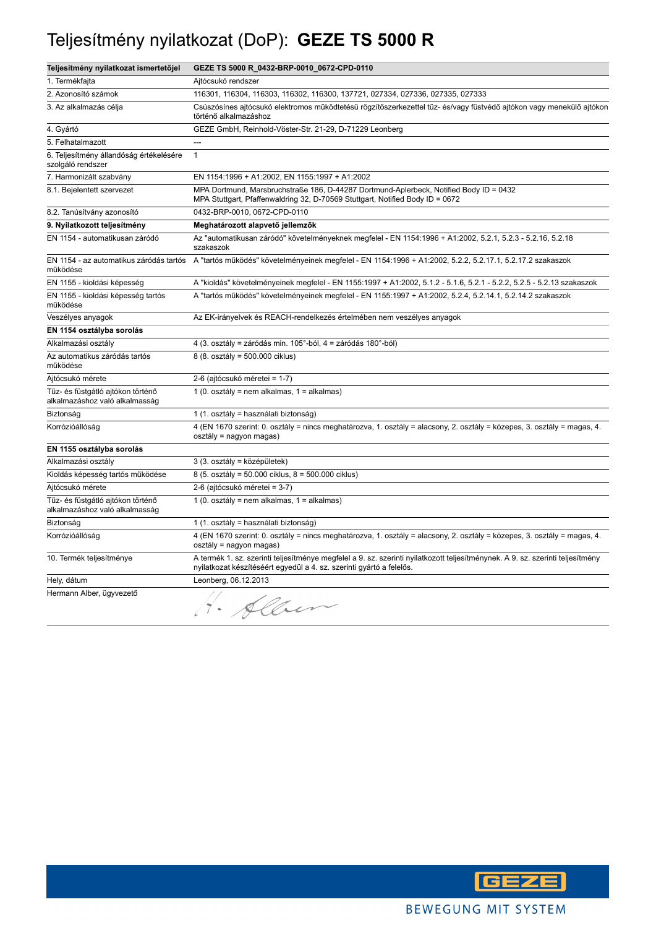#### Teljesítmény nyilatkozat (DoP): **GEZE TS 5000 R**

| Teljesítmény nyilatkozat ismertetőjel                               | GEZE TS 5000 R_0432-BRP-0010_0672-CPD-0110                                                                                                                                                             |
|---------------------------------------------------------------------|--------------------------------------------------------------------------------------------------------------------------------------------------------------------------------------------------------|
| 1. Termékfajta                                                      | Ajtócsukó rendszer                                                                                                                                                                                     |
| 2. Azonosító számok                                                 | 116301, 116304, 116303, 116302, 116300, 137721, 027334, 027336, 027335, 027333                                                                                                                         |
| 3. Az alkalmazás célja                                              | Csúszósínes ajtócsukó elektromos működtetésű rögzítőszerkezettel tűz- és/vagy füstvédő ajtókon vagy menekülő ajtókon<br>történő alkalmazáshoz                                                          |
| 4. Gyártó                                                           | GEZE GmbH, Reinhold-Vöster-Str. 21-29, D-71229 Leonberg                                                                                                                                                |
| 5. Felhatalmazott                                                   | $\overline{\phantom{a}}$                                                                                                                                                                               |
| 6. Teljesítmény állandóság értékelésére<br>szolgáló rendszer        | $\mathbf{1}$                                                                                                                                                                                           |
| 7. Harmonizált szabvány                                             | EN 1154:1996 + A1:2002, EN 1155:1997 + A1:2002                                                                                                                                                         |
| 8.1. Bejelentett szervezet                                          | MPA Dortmund, Marsbruchstraße 186, D-44287 Dortmund-Aplerbeck, Notified Body ID = 0432<br>MPA Stuttgart, Pfaffenwaldring 32, D-70569 Stuttgart, Notified Body ID = 0672                                |
| 8.2. Tanúsítvány azonosító                                          | 0432-BRP-0010, 0672-CPD-0110                                                                                                                                                                           |
| 9. Nyilatkozott teljesítmény                                        | Meghatározott alapvető jellemzők                                                                                                                                                                       |
| EN 1154 - automatikusan záródó                                      | Az "automatikusan záródó" követelményeknek megfelel - EN 1154:1996 + A1:2002, 5.2.1, 5.2.3 - 5.2.16, 5.2.18<br>szakaszok                                                                               |
| működése                                                            | EN 1154 - az automatikus záródás tartós A "tartós működés" követelményeinek megfelel - EN 1154:1996 + A1:2002, 5.2.2, 5.2.17.1, 5.2.17.2 szakaszok                                                     |
| EN 1155 - kioldási képesség                                         | A "kioldás" követelményeinek megfelel - EN 1155:1997 + A1:2002, 5.1.2 - 5.1.6, 5.2.1 - 5.2.2, 5.2.5 - 5.2.13 szakaszok                                                                                 |
| EN 1155 - kioldási képesség tartós<br>működése                      | A "tartós működés" követelményeinek megfelel - EN 1155:1997 + A1:2002, 5.2.4, 5.2.14.1, 5.2.14.2 szakaszok                                                                                             |
| Veszélyes anyagok                                                   | Az EK-irányelvek és REACH-rendelkezés értelmében nem veszélyes anyagok                                                                                                                                 |
| EN 1154 osztályba sorolás                                           |                                                                                                                                                                                                        |
| Alkalmazási osztály                                                 | 4 (3. osztály = záródás min. 105°-ból, 4 = záródás 180°-ból)                                                                                                                                           |
| Az automatikus záródás tartós<br>működése                           | 8 (8. osztály = 500.000 ciklus)                                                                                                                                                                        |
| Ajtócsukó mérete                                                    | 2-6 (ajtócsukó méretei = 1-7)                                                                                                                                                                          |
| Tűz- és füstgátló ajtókon történő<br>alkalmazáshoz való alkalmasság | 1 (0. osztály = nem alkalmas, 1 = alkalmas)                                                                                                                                                            |
| Biztonság                                                           | 1 (1. osztály = használati biztonság)                                                                                                                                                                  |
| Korrózióállóság                                                     | 4 (EN 1670 szerint: 0. osztály = nincs meghatározva, 1. osztály = alacsony, 2. osztály = közepes, 3. osztály = magas, 4.<br>osztály = nagyon magas)                                                    |
| EN 1155 osztályba sorolás                                           |                                                                                                                                                                                                        |
| Alkalmazási osztály                                                 | 3 (3. osztály = középületek)                                                                                                                                                                           |
| Kioldás képesség tartós működése                                    | 8 (5. osztály = 50.000 ciklus, 8 = 500.000 ciklus)                                                                                                                                                     |
| Ajtócsukó mérete                                                    | 2-6 (ajtócsukó méretei = 3-7)                                                                                                                                                                          |
| Tűz- és füstgátló ajtókon történő<br>alkalmazáshoz való alkalmasság | 1 (0. osztály = nem alkalmas, 1 = alkalmas)                                                                                                                                                            |
| Biztonság                                                           | 1 (1. osztály = használati biztonság)                                                                                                                                                                  |
| Korrózióállóság                                                     | 4 (EN 1670 szerint: 0. osztály = nincs meghatározva, 1. osztály = alacsony, 2. osztály = közepes, 3. osztály = magas, 4.<br>osztály = nagyon magas)                                                    |
| 10. Termék teljesítménye                                            | A termék 1. sz. szerinti teljesítménye megfelel a 9. sz. szerinti nyilatkozott teljesítménynek. A 9. sz. szerinti teljesítmény<br>nyilatkozat készítéséért egyedül a 4. sz. szerinti gyártó a felelős. |
| Hely, dátum                                                         | Leonberg, 06.12.2013                                                                                                                                                                                   |
| Hermann Alber, ügyvezető                                            | H. Alben                                                                                                                                                                                               |

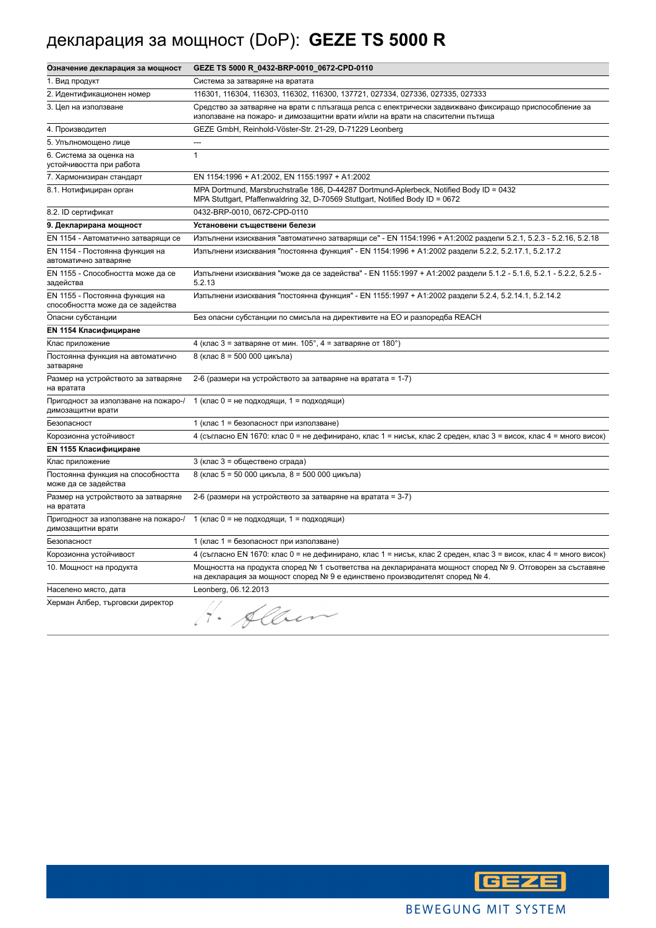# декларация за мощност (DoP): **GEZE TS 5000 R**

| Означение декларация за мощност                                     | GEZE TS 5000 R_0432-BRP-0010_0672-CPD-0110                                                                                                                                              |
|---------------------------------------------------------------------|-----------------------------------------------------------------------------------------------------------------------------------------------------------------------------------------|
| 1. Вид продукт                                                      | Система за затваряне на вратата                                                                                                                                                         |
| 2. Идентификационен номер                                           | 116301, 116304, 116303, 116302, 116300, 137721, 027334, 027336, 027335, 027333                                                                                                          |
| 3. Цел на използване                                                | Средство за затваряне на врати с плъзгаща релса с електрически задвижвано фиксиращо приспособление за<br>използване на пожаро- и димозащитни врати и/или на врати на спасителни пътища  |
| 4. Производител                                                     | GEZE GmbH, Reinhold-Vöster-Str. 21-29, D-71229 Leonberg                                                                                                                                 |
| 5. Упълномощено лице                                                | $\overline{a}$                                                                                                                                                                          |
| 6. Система за оценка на<br>устойчивостта при работа                 | $\mathbf{1}$                                                                                                                                                                            |
| 7. Хармонизиран стандарт                                            | EN 1154:1996 + A1:2002, EN 1155:1997 + A1:2002                                                                                                                                          |
| 8.1. Нотифициран орган                                              | MPA Dortmund, Marsbruchstraße 186, D-44287 Dortmund-Aplerbeck, Notified Body ID = 0432<br>MPA Stuttgart, Pfaffenwaldring 32, D-70569 Stuttgart, Notified Body ID = 0672                 |
| 8.2. ID сертификат                                                  | 0432-BRP-0010, 0672-CPD-0110                                                                                                                                                            |
| 9. Декларирана мощност                                              | Установени съществени белези                                                                                                                                                            |
| EN 1154 - Автоматично затварящи се                                  | Изпълнени изисквания "автоматично затварящи се" - EN 1154:1996 + A1:2002 раздели 5.2.1, 5.2.3 - 5.2.16, 5.2.18                                                                          |
| EN 1154 - Постоянна функция на<br>автоматично затваряне             | Изпълнени изисквания "постоянна функция" - EN 1154:1996 + A1:2002 раздели 5.2.2, 5.2.17.1, 5.2.17.2                                                                                     |
| EN 1155 - Способността може да се<br>задейства                      | Изпълнени изисквания "може да се задейства" - EN 1155:1997 + A1:2002 раздели 5.1.2 - 5.1.6, 5.2.1 - 5.2.2, 5.2.5 -<br>5.2.13                                                            |
| EN 1155 - Постоянна функция на<br>способността може да се задейства | Изпълнени изисквания "постоянна функция" - EN 1155:1997 + A1:2002 раздели 5.2.4, 5.2.14.1, 5.2.14.2                                                                                     |
| Опасни субстанции                                                   | Без опасни субстанции по смисъла на директивите на ЕО и разпоредба REACH                                                                                                                |
| <b>EN 1154 Класифициране</b>                                        |                                                                                                                                                                                         |
| Клас приложение                                                     | 4 (клас 3 = затваряне от мин. $105^\circ$ , 4 = затваряне от $180^\circ$ )                                                                                                              |
| Постоянна функция на автоматично<br>затваряне                       | 8 (клас 8 = 500 000 цикъла)                                                                                                                                                             |
| Размер на устройството за затваряне<br>на вратата                   | 2-6 (размери на устройството за затваряне на вратата = 1-7)                                                                                                                             |
| Пригодност за използване на пожаро-/<br>димозащитни врати           | 1 (клас 0 = не подходящи, 1 = подходящи)                                                                                                                                                |
| Безопасност                                                         | 1 (клас 1 = безопасност при използване)                                                                                                                                                 |
| Корозионна устойчивост                                              | 4 (съгласно EN 1670: клас 0 = не дефинирано, клас 1 = нисък, клас 2 среден, клас 3 = висок, клас 4 = много висок)                                                                       |
| <b>EN 1155 Класифициране</b>                                        |                                                                                                                                                                                         |
| Клас приложение                                                     | 3 (клас 3 = обществено сграда)                                                                                                                                                          |
| Постоянна функция на способността<br>може да се задейства           | 8 (клас 5 = 50 000 цикъла, 8 = 500 000 цикъла)                                                                                                                                          |
| Размер на устройството за затваряне<br>на вратата                   | 2-6 (размери на устройството за затваряне на вратата = 3-7)                                                                                                                             |
| Пригодност за използване на пожаро-/<br>димозащитни врати           | 1 (клас 0 = не подходящи, 1 = подходящи)                                                                                                                                                |
| Безопасност                                                         | 1 (клас 1 = безопасност при използване)                                                                                                                                                 |
| Корозионна устойчивост                                              | 4 (съгласно EN 1670: клас 0 = не дефинирано, клас 1 = нисък, клас 2 среден, клас 3 = висок, клас 4 = много висок)                                                                       |
| 10. Мощност на продукта                                             | Мощността на продукта според № 1 съответства на декларираната мощност според № 9. Отговорен за съставяне<br>на декларация за мощност според № 9 е единствено производителят според № 4. |
| Населено място, дата                                                | Leonberg, 06.12.2013                                                                                                                                                                    |
| Херман Албер, търговски директор                                    | H. Alben                                                                                                                                                                                |

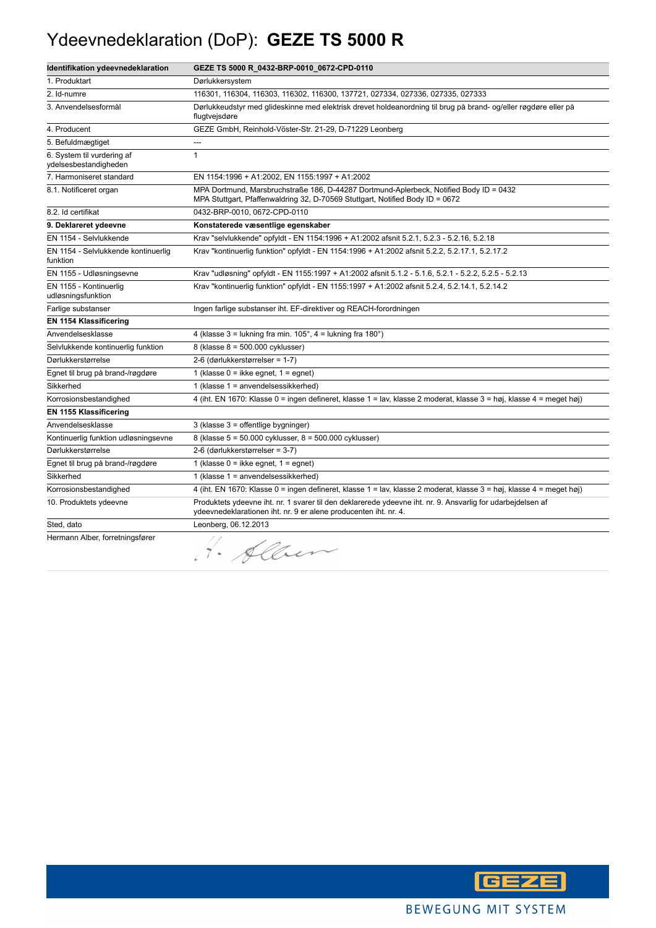#### Ydeevnedeklaration (DoP): **GEZE TS 5000 R**

| Identifikation ydeevnedeklaration                   | GEZE TS 5000 R_0432-BRP-0010_0672-CPD-0110                                                                                                                                      |
|-----------------------------------------------------|---------------------------------------------------------------------------------------------------------------------------------------------------------------------------------|
| 1. Produktart                                       | Dørlukkersystem                                                                                                                                                                 |
| 2. Id-numre                                         | 116301, 116304, 116303, 116302, 116300, 137721, 027334, 027336, 027335, 027333                                                                                                  |
| 3. Anvendelsesformål                                | Dørlukkeudstyr med glideskinne med elektrisk drevet holdeanordning til brug på brand- og/eller røgdøre eller på<br>flugtvejsdøre                                                |
| 4. Producent                                        | GEZE GmbH, Reinhold-Vöster-Str. 21-29, D-71229 Leonberg                                                                                                                         |
| 5. Befuldmægtiget                                   | ---                                                                                                                                                                             |
| 6. System til vurdering af<br>ydelsesbestandigheden | $\mathbf{1}$                                                                                                                                                                    |
| 7. Harmoniseret standard                            | EN 1154:1996 + A1:2002, EN 1155:1997 + A1:2002                                                                                                                                  |
| 8.1. Notificeret organ                              | MPA Dortmund, Marsbruchstraße 186, D-44287 Dortmund-Aplerbeck, Notified Body ID = 0432<br>MPA Stuttgart, Pfaffenwaldring 32, D-70569 Stuttgart, Notified Body ID = 0672         |
| 8.2. Id certifikat                                  | 0432-BRP-0010, 0672-CPD-0110                                                                                                                                                    |
| 9. Deklareret ydeevne                               | Konstaterede væsentlige egenskaber                                                                                                                                              |
| EN 1154 - Selvlukkende                              | Krav "selvlukkende" opfyldt - EN 1154:1996 + A1:2002 afsnit 5.2.1, 5.2.3 - 5.2.16, 5.2.18                                                                                       |
| EN 1154 - Selvlukkende kontinuerlig<br>funktion     | Krav "kontinuerlig funktion" opfyldt - EN 1154:1996 + A1:2002 afsnit 5.2.2, 5.2.17.1, 5.2.17.2                                                                                  |
| EN 1155 - Udløsningsevne                            | Krav "udløsning" opfyldt - EN 1155:1997 + A1:2002 afsnit 5.1.2 - 5.1.6, 5.2.1 - 5.2.2, 5.2.5 - 5.2.13                                                                           |
| EN 1155 - Kontinuerlig<br>udløsningsfunktion        | Krav "kontinuerlig funktion" opfyldt - EN 1155:1997 + A1:2002 afsnit 5.2.4, 5.2.14.1, 5.2.14.2                                                                                  |
| Farlige substanser                                  | Ingen farlige substanser iht. EF-direktiver og REACH-forordningen                                                                                                               |
| <b>EN 1154 Klassificering</b>                       |                                                                                                                                                                                 |
| Anvendelsesklasse                                   | 4 (klasse 3 = lukning fra min. $105^\circ$ , 4 = lukning fra 180 $^\circ$ )                                                                                                     |
| Selvlukkende kontinuerlig funktion                  | 8 (klasse 8 = 500.000 cyklusser)                                                                                                                                                |
| Dørlukkerstørrelse                                  | 2-6 (dørlukkerstørrelser = 1-7)                                                                                                                                                 |
| Egnet til brug på brand-/røgdøre                    | 1 (klasse $0 =$ ikke egnet, $1 =$ egnet)                                                                                                                                        |
| Sikkerhed                                           | 1 (klasse 1 = anvendelsessikkerhed)                                                                                                                                             |
| Korrosionsbestandighed                              | 4 (iht. EN 1670: Klasse 0 = ingen defineret, klasse 1 = lav, klasse 2 moderat, klasse 3 = høj, klasse 4 = meget høj)                                                            |
| <b>EN 1155 Klassificering</b>                       |                                                                                                                                                                                 |
| Anvendelsesklasse                                   | 3 (klasse 3 = offentlige bygninger)                                                                                                                                             |
| Kontinuerlig funktion udløsningsevne                | 8 (klasse 5 = 50.000 cyklusser, 8 = 500.000 cyklusser)                                                                                                                          |
| Dørlukkerstørrelse                                  | 2-6 (dørlukkerstørrelser = 3-7)                                                                                                                                                 |
| Egnet til brug på brand-/røgdøre                    | 1 (klasse $0 =$ ikke egnet, $1 =$ egnet)                                                                                                                                        |
| Sikkerhed                                           | 1 (klasse 1 = anvendelsessikkerhed)                                                                                                                                             |
| Korrosionsbestandighed                              | 4 (iht. EN 1670: Klasse 0 = ingen defineret, klasse 1 = lav, klasse 2 moderat, klasse 3 = høj, klasse 4 = meget høj)                                                            |
| 10. Produktets ydeevne                              | Produktets ydeevne iht. nr. 1 svarer til den deklarerede ydeevne iht. nr. 9. Ansvarlig for udarbejdelsen af<br>ydeevnedeklarationen iht. nr. 9 er alene producenten iht. nr. 4. |
| Sted, dato                                          | Leonberg, 06.12.2013                                                                                                                                                            |
| Hermann Alber, forretningsfører                     | · Alber                                                                                                                                                                         |

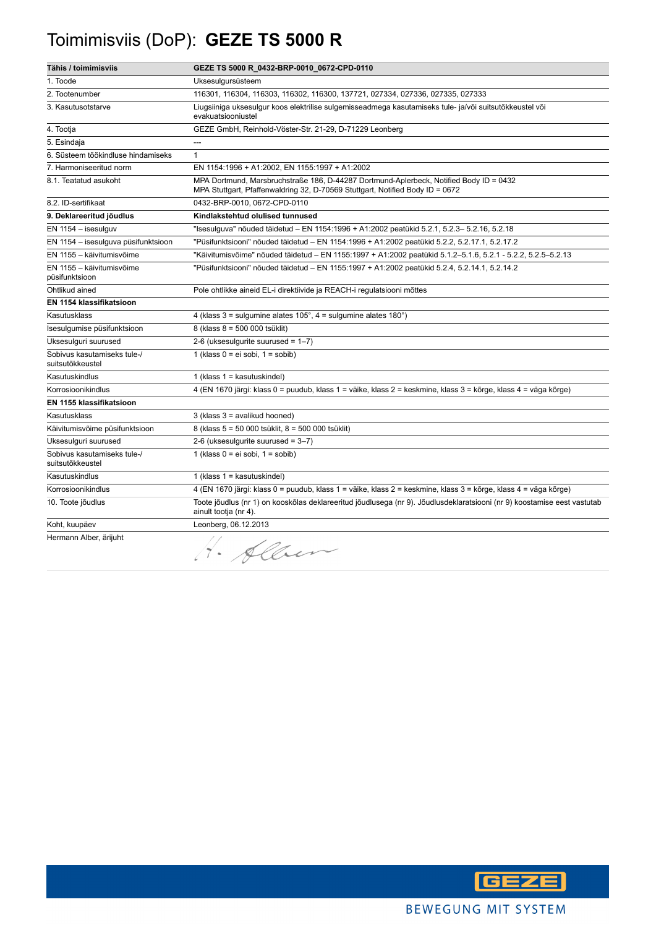# Toimimisviis (DoP): **GEZE TS 5000 R**

| Tähis / toimimisviis                            | GEZE TS 5000 R_0432-BRP-0010_0672-CPD-0110                                                                                                                              |
|-------------------------------------------------|-------------------------------------------------------------------------------------------------------------------------------------------------------------------------|
| 1. Toode                                        | Uksesulgursüsteem                                                                                                                                                       |
| 2. Tootenumber                                  | 116301, 116304, 116303, 116302, 116300, 137721, 027334, 027336, 027335, 027333                                                                                          |
| 3. Kasutusotstarve                              | Liugsiiniga uksesulgur koos elektrilise sulgemisseadmega kasutamiseks tule- ja/või suitsutõkkeustel või<br>evakuatsiooniustel                                           |
| 4. Tootja                                       | GEZE GmbH, Reinhold-Vöster-Str. 21-29, D-71229 Leonberg                                                                                                                 |
| 5. Esindaja                                     | ---                                                                                                                                                                     |
| 6. Süsteem töökindluse hindamiseks              | $\mathbf{1}$                                                                                                                                                            |
| 7. Harmoniseeritud norm                         | EN 1154:1996 + A1:2002, EN 1155:1997 + A1:2002                                                                                                                          |
| 8.1. Teatatud asukoht                           | MPA Dortmund, Marsbruchstraße 186, D-44287 Dortmund-Aplerbeck, Notified Body ID = 0432<br>MPA Stuttgart, Pfaffenwaldring 32, D-70569 Stuttgart, Notified Body ID = 0672 |
| 8.2. ID-sertifikaat                             | 0432-BRP-0010, 0672-CPD-0110                                                                                                                                            |
| 9. Deklareeritud jõudlus                        | Kindlakstehtud olulised tunnused                                                                                                                                        |
| $EN$ 1154 - isesulguv                           | "Isesulguva" nõuded täidetud – EN 1154:1996 + A1:2002 peatükid 5.2.1, 5.2.3– 5.2.16, 5.2.18                                                                             |
| EN 1154 - isesulguva püsifunktsioon             | "Püsifunktsiooni" nõuded täidetud – EN 1154:1996 + A1:2002 peatükid 5.2.2, 5.2.17.1, 5.2.17.2                                                                           |
| EN 1155 - käivitumisvõime                       | "Käivitumisvõime" nõuded täidetud - EN 1155:1997 + A1:2002 peatükid 5.1.2-5.1.6, 5.2.1 - 5.2.2, 5.2.5-5.2.13                                                            |
| EN 1155 - käivitumisvõime<br>püsifunktsioon     | "Püsifunktsiooni" nõuded täidetud - EN 1155:1997 + A1:2002 peatükid 5.2.4, 5.2.14.1, 5.2.14.2                                                                           |
| Ohtlikud ained                                  | Pole ohtlikke aineid EL-i direktiivide ja REACH-i regulatsiooni mõttes                                                                                                  |
| EN 1154 klassifikatsioon                        |                                                                                                                                                                         |
| Kasutusklass                                    | 4 (klass $3 =$ sulgumine alates $105^\circ$ , $4 =$ sulgumine alates $180^\circ$ )                                                                                      |
| Isesulgumise püsifunktsioon                     | 8 (klass 8 = 500 000 tsüklit)                                                                                                                                           |
| Uksesulguri suurused                            | 2-6 (uksesulgurite suurused = $1-7$ )                                                                                                                                   |
| Sobivus kasutamiseks tule-/<br>suitsutõkkeustel | 1 (klass $0 = ei$ sobi, $1 =$ sobib)                                                                                                                                    |
| Kasutuskindlus                                  | 1 (klass $1 =$ kasutuskindel)                                                                                                                                           |
| Korrosioonikindlus                              | 4 (EN 1670 järgi: klass 0 = puudub, klass 1 = väike, klass 2 = keskmine, klass 3 = kõrge, klass 4 = väga kõrge)                                                         |
| EN 1155 klassifikatsioon                        |                                                                                                                                                                         |
| Kasutusklass                                    | 3 (klass 3 = avalikud hooned)                                                                                                                                           |
| Käivitumisvõime püsifunktsioon                  | 8 (klass 5 = 50 000 tsüklit, 8 = 500 000 tsüklit)                                                                                                                       |
| Uksesulguri suurused                            | 2-6 (uksesulgurite suurused = 3-7)                                                                                                                                      |
| Sobivus kasutamiseks tule-/<br>suitsutõkkeustel | 1 (klass $0 = ei$ sobi, $1 =$ sobib)                                                                                                                                    |
| Kasutuskindlus                                  | 1 (klass $1 =$ kasutuskindel)                                                                                                                                           |
| Korrosioonikindlus                              | 4 (EN 1670 järgi: klass 0 = puudub, klass 1 = väike, klass 2 = keskmine, klass 3 = kõrge, klass 4 = väga kõrge)                                                         |
| 10. Toote jõudlus                               | Toote jõudlus (nr 1) on kooskõlas deklareeritud jõudlusega (nr 9). Jõudlusdeklaratsiooni (nr 9) koostamise eest vastutab<br>ainult tootja (nr 4).                       |
| Koht, kuupäev                                   | Leonberg, 06.12.2013                                                                                                                                                    |
| Hermann Alber, ärijuht                          | . Alben                                                                                                                                                                 |

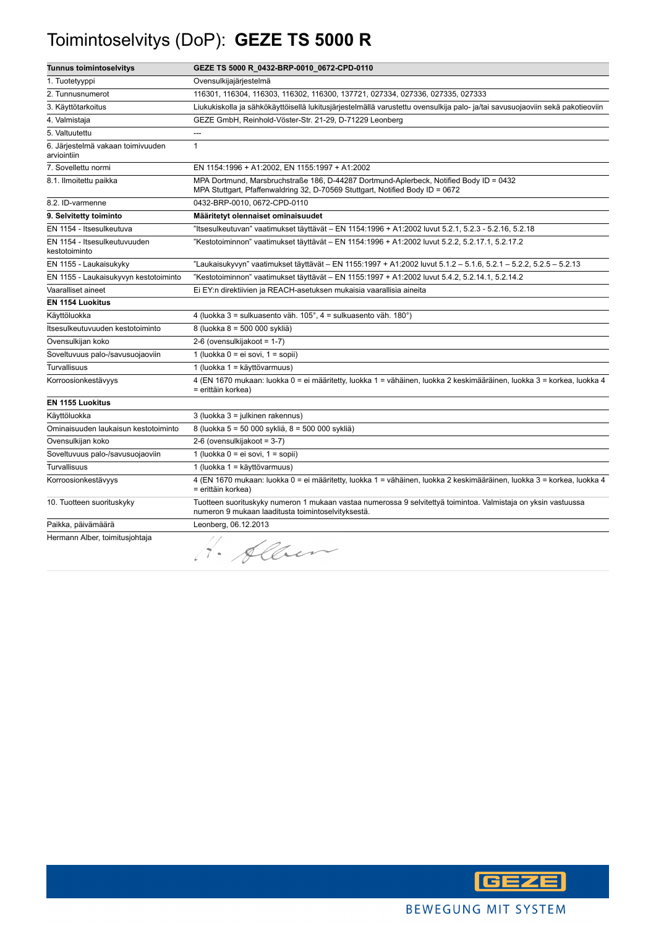## Toimintoselvitys (DoP): **GEZE TS 5000 R**

| <b>Tunnus toimintoselvitys</b>                   | GEZE TS 5000 R_0432-BRP-0010_0672-CPD-0110                                                                                                                              |
|--------------------------------------------------|-------------------------------------------------------------------------------------------------------------------------------------------------------------------------|
| 1. Tuotetyyppi                                   | Ovensulkijajärjestelmä                                                                                                                                                  |
| 2. Tunnusnumerot                                 | 116301, 116304, 116303, 116302, 116300, 137721, 027334, 027336, 027335, 027333                                                                                          |
| 3. Käyttötarkoitus                               | Liukukiskolla ja sähkökäyttöisellä lukitusjärjestelmällä varustettu ovensulkija palo- ja/tai savusuojaoviin sekä pakotieoviin                                           |
| 4. Valmistaja                                    | GEZE GmbH, Reinhold-Vöster-Str. 21-29, D-71229 Leonberg                                                                                                                 |
| 5. Valtuutettu                                   |                                                                                                                                                                         |
| 6. Järjestelmä vakaan toimivuuden<br>arviointiin | $\mathbf{1}$                                                                                                                                                            |
| 7. Sovellettu normi                              | EN 1154:1996 + A1:2002, EN 1155:1997 + A1:2002                                                                                                                          |
| 8.1. Ilmoitettu paikka                           | MPA Dortmund, Marsbruchstraße 186, D-44287 Dortmund-Aplerbeck, Notified Body ID = 0432<br>MPA Stuttgart, Pfaffenwaldring 32, D-70569 Stuttgart, Notified Body ID = 0672 |
| 8.2. ID-varmenne                                 | 0432-BRP-0010, 0672-CPD-0110                                                                                                                                            |
| 9. Selvitetty toiminto                           | Määritetyt olennaiset ominaisuudet                                                                                                                                      |
| EN 1154 - Itsesulkeutuva                         | "Itsesulkeutuvan" vaatimukset täyttävät - EN 1154:1996 + A1:2002 luvut 5.2.1, 5.2.3 - 5.2.16, 5.2.18                                                                    |
| EN 1154 - Itsesulkeutuvuuden<br>kestotoiminto    | "Kestotoiminnon" vaatimukset täyttävät – EN 1154:1996 + A1:2002 luvut 5.2.2, 5.2.17.1, 5.2.17.2                                                                         |
| EN 1155 - Laukaisukyky                           | "Laukaisukyvyn" vaatimukset täyttävät – EN 1155:1997 + A1:2002 luvut 5.1.2 – 5.1.6, 5.2.1 – 5.2.2, 5.2.5 – 5.2.13                                                       |
| EN 1155 - Laukaisukyvyn kestotoiminto            | "Kestotoiminnon" vaatimukset täyttävät – EN 1155:1997 + A1:2002 luvut 5.4.2, 5.2.14.1, 5.2.14.2                                                                         |
| Vaaralliset aineet                               | Ei EY:n direktiivien ja REACH-asetuksen mukaisia vaarallisia aineita                                                                                                    |
| <b>EN 1154 Luokitus</b>                          |                                                                                                                                                                         |
| Käyttöluokka                                     | 4 (luokka 3 = sulkuasento väh. 105°, 4 = sulkuasento väh. 180°)                                                                                                         |
| Itsesulkeutuvuuden kestotoiminto                 | 8 (luokka 8 = 500 000 sykliä)                                                                                                                                           |
| Ovensulkijan koko                                | 2-6 (ovensulkijakoot = 1-7)                                                                                                                                             |
| Soveltuvuus palo-/savusuojaoviin                 | 1 (luokka 0 = ei sovi, 1 = sopii)                                                                                                                                       |
| Turvallisuus                                     | 1 (luokka 1 = käyttövarmuus)                                                                                                                                            |
| Korroosionkestävyys                              | 4 (EN 1670 mukaan: luokka 0 = ei määritetty, luokka 1 = vähäinen, luokka 2 keskimääräinen, luokka 3 = korkea, luokka 4<br>= erittäin korkea)                            |
| <b>EN 1155 Luokitus</b>                          |                                                                                                                                                                         |
| Käyttöluokka                                     | 3 (luokka 3 = julkinen rakennus)                                                                                                                                        |
| Ominaisuuden laukaisun kestotoiminto             | 8 (luokka 5 = 50 000 sykliä, 8 = 500 000 sykliä)                                                                                                                        |
| Ovensulkijan koko                                | 2-6 (ovensulkijakoot = 3-7)                                                                                                                                             |
| Soveltuvuus palo-/savusuojaoviin                 | 1 (luokka $0 = ei sovi$ , $1 = sopii$ )                                                                                                                                 |
| <b>Turvallisuus</b>                              | 1 (luokka 1 = käyttövarmuus)                                                                                                                                            |
| Korroosionkestävyys                              | 4 (EN 1670 mukaan: luokka 0 = ei määritetty, luokka 1 = vähäinen, luokka 2 keskimääräinen, luokka 3 = korkea, luokka 4<br>= erittäin korkea)                            |
| 10. Tuotteen suorituskyky                        | Tuotteen suorituskyky numeron 1 mukaan vastaa numerossa 9 selvitettyä toimintoa. Valmistaja on yksin vastuussa<br>numeron 9 mukaan laaditusta toimintoselvityksestä.    |
| Paikka, päivämäärä                               | Leonberg, 06.12.2013                                                                                                                                                    |
| Hermann Alber, toimitusjohtaja                   | 1. Alben                                                                                                                                                                |

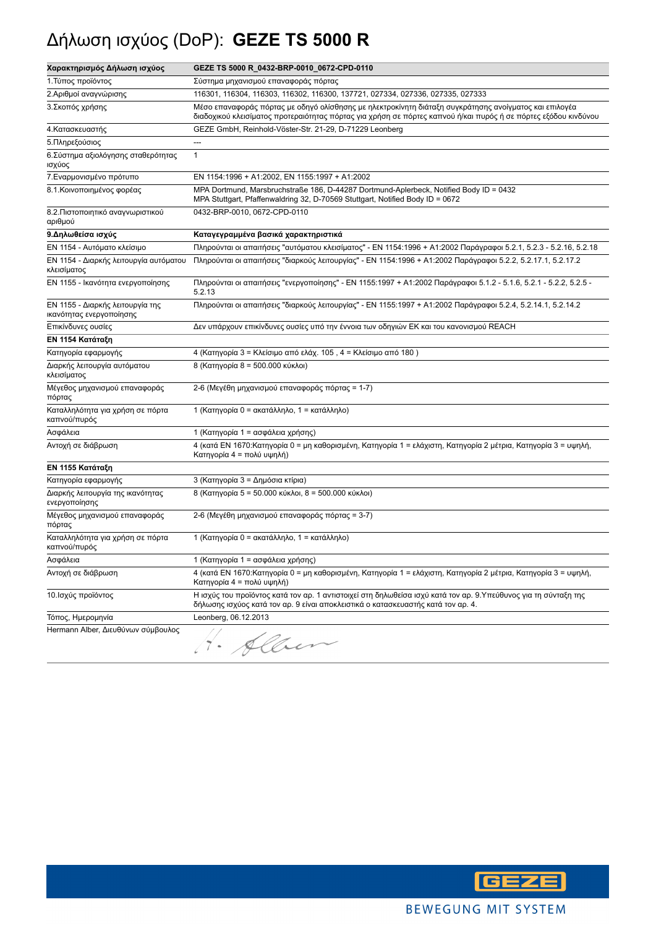# Δήλωση ισχύος (DoP): **GEZE TS 5000 R**

| Χαρακτηρισμός Δήλωση ισχύος                                  | GEZE TS 5000 R_0432-BRP-0010_0672-CPD-0110                                                                                                                                                                                |
|--------------------------------------------------------------|---------------------------------------------------------------------------------------------------------------------------------------------------------------------------------------------------------------------------|
| 1. Τύπος προϊόντος                                           | Σύστημα μηχανισμού επαναφοράς πόρτας                                                                                                                                                                                      |
| 2.Αριθμοί αναγνώρισης                                        | 116301, 116304, 116303, 116302, 116300, 137721, 027334, 027336, 027335, 027333                                                                                                                                            |
| 3. Σκοπός χρήσης                                             | Μέσο επαναφοράς πόρτας με οδηγό ολίσθησης με ηλεκτροκίνητη διάταξη συγκράτησης ανοίγματος και επιλογέα<br>διαδοχικού κλεισίματος προτεραιότητας πόρτας για χρήση σε πόρτες καπνού ή/και πυρός ή σε πόρτες εξόδου κινδύνου |
| 4. Κατασκευαστής                                             | GEZE GmbH, Reinhold-Vöster-Str. 21-29, D-71229 Leonberg                                                                                                                                                                   |
| 5. Πληρεξούσιος                                              | ---                                                                                                                                                                                                                       |
| 6. Σύστημα αξιολόγησης σταθερότητας<br>ισχύος                | $\mathbf{1}$                                                                                                                                                                                                              |
| 7. Εναρμονισμένο πρότυπο                                     | EN 1154:1996 + A1:2002, EN 1155:1997 + A1:2002                                                                                                                                                                            |
| 8.1. Κοινοποιημένος φορέας                                   | MPA Dortmund, Marsbruchstraße 186, D-44287 Dortmund-Aplerbeck, Notified Body ID = 0432<br>MPA Stuttgart, Pfaffenwaldring 32, D-70569 Stuttgart, Notified Body ID = 0672                                                   |
| 8.2. Πιστοποιητικό αναγνωριστικού<br>αριθμού                 | 0432-BRP-0010, 0672-CPD-0110                                                                                                                                                                                              |
| 9. Δηλωθείσα ισχύς                                           | Καταγεγραμμένα βασικά χαρακτηριστικά                                                                                                                                                                                      |
| ΕΝ 1154 - Αυτόματο κλείσιμο                                  | Πληρούνται οι απαιτήσεις "αυτόματου κλεισίματος" - ΕΝ 1154:1996 + Α1:2002 Παράγραφοι 5.2.1, 5.2.3 - 5.2.16, 5.2.18                                                                                                        |
| ΕΝ 1154 - Διαρκής λειτουργία αυτόματου<br>κλεισίματος        | Πληρούνται οι απαιτήσεις "διαρκούς λειτουργίας" - ΕΝ 1154:1996 + Α1:2002 Παράγραφοι 5.2.2, 5.2.17.1, 5.2.17.2                                                                                                             |
| ΕΝ 1155 - Ικανότητα ενεργοποίησης                            | Πληρούνται οι απαιτήσεις "ενεργοποίησης" - ΕΝ 1155:1997 + Α1:2002 Παράγραφοι 5.1.2 - 5.1.6, 5.2.1 - 5.2.2, 5.2.5 -<br>5.2.13                                                                                              |
| ΕΝ 1155 - Διαρκής λειτουργία της<br>ικανότητας ενεργοποίησης | Πληρούνται οι απαιτήσεις "διαρκούς λειτουργίας" - ΕΝ 1155:1997 + Α1:2002 Παράγραφοι 5.2.4, 5.2.14.1, 5.2.14.2                                                                                                             |
| Επικίνδυνες ουσίες                                           | Δεν υπάρχουν επικίνδυνες ουσίες υπό την έννοια των οδηγιών ΕΚ και του κανονισμού REACH                                                                                                                                    |
| ΕΝ 1154 Κατάταξη                                             |                                                                                                                                                                                                                           |
| Κατηγορία εφαρμογής                                          | 4 (Κατηγορία 3 = Κλείσιμο από ελάχ. 105, 4 = Κλείσιμο από 180)                                                                                                                                                            |
| Διαρκής λειτουργία αυτόματου<br>κλεισίματος                  | 8 (Κατηγορία 8 = 500.000 κύκλοι)                                                                                                                                                                                          |
| Μέγεθος μηχανισμού επαναφοράς<br>πόρτας                      | 2-6 (Μεγέθη μηχανισμού επαναφοράς πόρτας = 1-7)                                                                                                                                                                           |
| Καταλληλότητα για χρήση σε πόρτα<br>καπνού/πυρός             | 1 (Κατηγορία 0 = ακατάλληλο, 1 = κατάλληλο)                                                                                                                                                                               |
| Ασφάλεια                                                     | 1 (Κατηγορία 1 = ασφάλεια χρήσης)                                                                                                                                                                                         |
| Αντοχή σε διάβρωση                                           | 4 (κατά ΕΝ 1670:Κατηγορία 0 = μη καθορισμένη, Κατηγορία 1 = ελάχιστη, Κατηγορία 2 μέτρια, Κατηγορία 3 = υψηλή,<br>Κατηγορία 4 = πολύ υψηλή)                                                                               |
| ΕΝ 1155 Κατάταξη                                             |                                                                                                                                                                                                                           |
| Κατηγορία εφαρμογής                                          | 3 (Κατηγορία 3 = Δημόσια κτίρια)                                                                                                                                                                                          |
| Διαρκής λειτουργία της ικανότητας<br>ενεργοποίησης           | 8 (Κατηγορία 5 = 50.000 κύκλοι, 8 = 500.000 κύκλοι)                                                                                                                                                                       |
| Μέγεθος μηχανισμού επαναφοράς<br>πόρτας                      | 2-6 (Μεγέθη μηχανισμού επαναφοράς πόρτας = 3-7)                                                                                                                                                                           |
| Καταλληλότητα για χρήση σε πόρτα<br>καπνού/πυρός             | 1 (Κατηγορία 0 = ακατάλληλο, 1 = κατάλληλο)                                                                                                                                                                               |
| Ασφάλεια                                                     | 1 (Κατηγορία 1 = ασφάλεια χρήσης)                                                                                                                                                                                         |
| Αντοχή σε διάβρωση                                           | 4 (κατά ΕΝ 1670:Κατηγορία 0 = μη καθορισμένη, Κατηγορία 1 = ελάχιστη, Κατηγορία 2 μέτρια, Κατηγορία 3 = υψηλή,<br>Κατηγορία 4 = πολύ υψηλή)                                                                               |
| 10. Ισχύς προϊόντος                                          | Η ισχύς του προϊόντος κατά τον αρ. 1 αντιστοιχεί στη δηλωθείσα ισχύ κατά τον αρ. 9.Υπεύθυνος για τη σύνταξη της<br>δήλωσης ισχύος κατά τον αρ. 9 είναι αποκλειστικά ο κατασκευαστής κατά τον αρ. 4.                       |
| Τόπος, Ημερομηνία                                            | Leonberg, 06.12.2013                                                                                                                                                                                                      |
| Hermann Alber, Διευθύνων σύμβουλος                           | Alber                                                                                                                                                                                                                     |

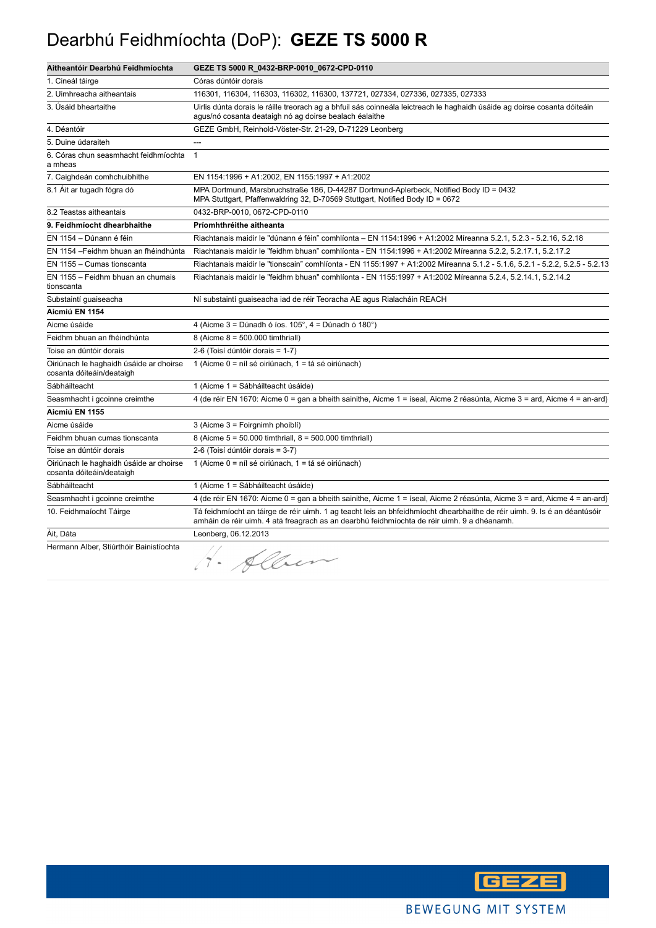#### Dearbhú Feidhmíochta (DoP): **GEZE TS 5000 R**

| Aitheantóir Dearbhú Feidhmíochta                                     | GEZE TS 5000 R_0432-BRP-0010_0672-CPD-0110                                                                                                                                                                               |
|----------------------------------------------------------------------|--------------------------------------------------------------------------------------------------------------------------------------------------------------------------------------------------------------------------|
| 1. Cineál táirge                                                     | Córas dúntóir dorais                                                                                                                                                                                                     |
| 2. Uimhreacha aitheantais                                            | 116301, 116304, 116303, 116302, 116300, 137721, 027334, 027336, 027335, 027333                                                                                                                                           |
| 3. Úsáid bheartaithe                                                 | Uirlis dúnta dorais le ráille treorach ag a bhfuil sás coinneála leictreach le haghaidh úsáide ag doirse cosanta dóiteáin<br>agus/nó cosanta deataigh nó ag doirse bealach éalaithe                                      |
| 4. Déantóir                                                          | GEZE GmbH, Reinhold-Vöster-Str. 21-29, D-71229 Leonberg                                                                                                                                                                  |
| 5. Duine údaraiteh                                                   | ---                                                                                                                                                                                                                      |
| 6. Córas chun seasmhacht feidhmíochta<br>a mheas                     | $\mathbf{1}$                                                                                                                                                                                                             |
| 7. Caighdeán comhchuibhithe                                          | EN 1154:1996 + A1:2002, EN 1155:1997 + A1:2002                                                                                                                                                                           |
| 8.1 Ait ar tugadh fógra dó                                           | MPA Dortmund, Marsbruchstraße 186, D-44287 Dortmund-Aplerbeck, Notified Body ID = 0432<br>MPA Stuttgart, Pfaffenwaldring 32, D-70569 Stuttgart, Notified Body ID = 0672                                                  |
| 8.2 Teastas aitheantais                                              | 0432-BRP-0010, 0672-CPD-0110                                                                                                                                                                                             |
| 9. Feidhmíocht dhearbhaithe                                          | Príomhthréithe aitheanta                                                                                                                                                                                                 |
| EN 1154 - Dúnann é féin                                              | Riachtanais maidir le "dúnann é féin" comhlíonta - EN 1154:1996 + A1:2002 Míreanna 5.2.1, 5.2.3 - 5.2.16, 5.2.18                                                                                                         |
| EN 1154 - Feidhm bhuan an fhéindhúnta                                | Riachtanais maidir le "feidhm bhuan" comhlíonta - EN 1154:1996 + A1:2002 Míreanna 5.2.2, 5.2.17.1, 5.2.17.2                                                                                                              |
| EN 1155 - Cumas tionscanta                                           | Riachtanais maidir le "tionscain" comhlíonta - EN 1155:1997 + A1:2002 Míreanna 5.1.2 - 5.1.6, 5.2.1 - 5.2.2, 5.2.5 - 5.2.13                                                                                              |
| EN 1155 - Feidhm bhuan an chumais<br>tionscanta                      | Riachtanais maidir le "feidhm bhuan" comhlíonta - EN 1155:1997 + A1:2002 Míreanna 5.2.4, 5.2.14.1, 5.2.14.2                                                                                                              |
| Substaintí guaiseacha                                                | Ní substaintí guaiseacha iad de réir Teoracha AE agus Rialacháin REACH                                                                                                                                                   |
| Aicmiú EN 1154                                                       |                                                                                                                                                                                                                          |
| Aicme úsáide                                                         | 4 (Aicme $3 =$ Dúnadh ó íos. 105°, $4 =$ Dúnadh ó 180°)                                                                                                                                                                  |
| Feidhm bhuan an fhéindhúnta                                          | 8 (Aicme $8 = 500.000$ timthriall)                                                                                                                                                                                       |
| Toise an dúntóir dorais                                              | 2-6 (Toisí dúntóir dorais = 1-7)                                                                                                                                                                                         |
| Oiriúnach le haghaidh úsáide ar dhoirse<br>cosanta dóiteáin/deataigh | 1 (Aicme 0 = níl sé oiriúnach, 1 = tá sé oiriúnach)                                                                                                                                                                      |
| Sábháilteacht                                                        | 1 (Aicme 1 = Sábháilteacht úsáide)                                                                                                                                                                                       |
| Seasmhacht i gcoinne creimthe                                        | 4 (de réir EN 1670: Aicme 0 = gan a bheith sainithe, Aicme 1 = íseal, Aicme 2 réasúnta, Aicme 3 = ard, Aicme 4 = an-ard)                                                                                                 |
| Aicmiú EN 1155                                                       |                                                                                                                                                                                                                          |
| Aicme úsáide                                                         | 3 (Aicme 3 = Foirgnimh phoiblí)                                                                                                                                                                                          |
| Feidhm bhuan cumas tionscanta                                        | 8 (Aicme 5 = 50.000 timthriall, 8 = 500.000 timthriall)                                                                                                                                                                  |
| Toise an dúntóir dorais                                              | 2-6 (Toisí dúntóir dorais = 3-7)                                                                                                                                                                                         |
| Oiriúnach le haghaidh úsáide ar dhoirse<br>cosanta dóiteáin/deataigh | 1 (Aicme 0 = níl sé oiriúnach, 1 = tá sé oiriúnach)                                                                                                                                                                      |
| Sábháilteacht                                                        | 1 (Aicme 1 = Sábháilteacht úsáide)                                                                                                                                                                                       |
| Seasmhacht i gcoinne creimthe                                        | 4 (de réir EN 1670: Aicme 0 = gan a bheith sainithe, Aicme 1 = íseal, Aicme 2 réasúnta, Aicme 3 = ard, Aicme 4 = an-ard)                                                                                                 |
| 10. Feidhmaíocht Táirge                                              | Tá feidhmíocht an táirge de réir uimh. 1 ag teacht leis an bhfeidhmíocht dhearbhaithe de réir uimh. 9. Is é an déantúsóir<br>amháin de réir uimh. 4 atá freagrach as an dearbhú feidhmíochta de réir uimh. 9 a dhéanamh. |
| Áit, Dáta                                                            | Leonberg, 06.12.2013                                                                                                                                                                                                     |
| Hermann Alber, Stiúrthóir Bainistíochta                              | 4. Alben                                                                                                                                                                                                                 |

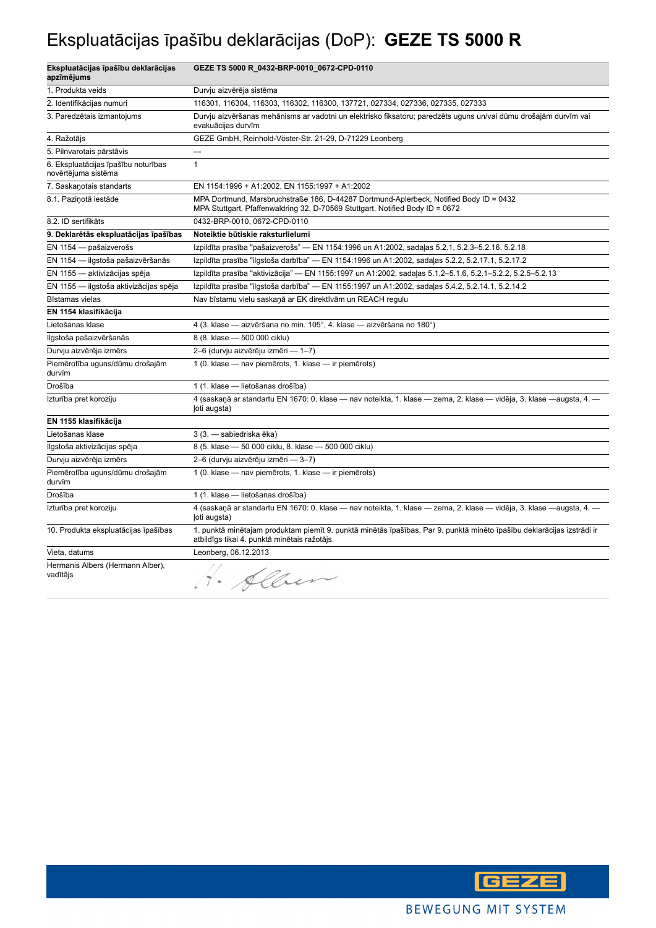## Ekspluatācijas īpašību deklarācijas (DoP): **GEZE TS 5000 R**

| Ekspluatācijas īpašību deklarācijas<br>apzīmējums          | GEZE TS 5000 R_0432-BRP-0010_0672-CPD-0110                                                                                                                              |
|------------------------------------------------------------|-------------------------------------------------------------------------------------------------------------------------------------------------------------------------|
| 1. Produkta veids                                          | Durvju aizvērēja sistēma                                                                                                                                                |
| 2. Identifikācijas numuri                                  | 116301, 116304, 116303, 116302, 116300, 137721, 027334, 027336, 027335, 027333                                                                                          |
| 3. Paredzētais izmantojums                                 | Durvju aizvēršanas mehānisms ar vadotni un elektrisko fiksatoru; paredzēts uguns un/vai dūmu drošajām durvīm vai<br>evakuācijas durvīm                                  |
| 4. Ražotājs                                                | GEZE GmbH, Reinhold-Vöster-Str. 21-29, D-71229 Leonberg                                                                                                                 |
| 5. Pilnvarotais pārstāvis                                  | $\overline{a}$                                                                                                                                                          |
| 6. Ekspluatācijas īpašību noturības<br>novērtējuma sistēma | $\mathbf{1}$                                                                                                                                                            |
| 7. Saskanotais standarts                                   | EN 1154:1996 + A1:2002, EN 1155:1997 + A1:2002                                                                                                                          |
| 8.1. Paziņotā iestāde                                      | MPA Dortmund, Marsbruchstraße 186, D-44287 Dortmund-Aplerbeck, Notified Body ID = 0432<br>MPA Stuttgart, Pfaffenwaldring 32, D-70569 Stuttgart, Notified Body ID = 0672 |
| 8.2. ID sertifikāts                                        | 0432-BRP-0010, 0672-CPD-0110                                                                                                                                            |
| 9. Deklarētās ekspluatācijas īpašības                      | Noteiktie būtiskie raksturlielumi                                                                                                                                       |
| EN 1154 - pašaizverošs                                     | Izpildīta prasība "pašaizverošs" — EN 1154:1996 un A1:2002, sadaļas 5.2.1, 5.2.3-5.2.16, 5.2.18                                                                         |
| EN 1154 - ilgstoša pašaizvēršanās                          | Izpildīta prasība "ilgstoša darbība" — EN 1154:1996 un A1:2002, sadaļas 5.2.2, 5.2.17.1, 5.2.17.2                                                                       |
| EN 1155 - aktivizācijas spēja                              | Izpildīta prasība "aktivizācija" — EN 1155:1997 un A1:2002, sadaļas 5.1.2-5.1.6, 5.2.1-5.2.2, 5.2.5-5.2.13                                                              |
| EN 1155 - ilgstoša aktivizācijas spēja                     | Izpildīta prasība "ilgstoša darbība" — EN 1155:1997 un A1:2002, sadaļas 5.4.2, 5.2.14.1, 5.2.14.2                                                                       |
| Bīstamas vielas                                            | Nav bīstamu vielu saskaņā ar EK direktīvām un REACH regulu                                                                                                              |
| EN 1154 klasifikācija                                      |                                                                                                                                                                         |
| Lietošanas klase                                           | 4 (3. klase - aizvēršana no min. 105°, 4. klase - aizvēršana no 180°)                                                                                                   |
| Ilgstoša pašaizvēršanās                                    | 8 (8. klase - 500 000 ciklu)                                                                                                                                            |
| Durvju aizvērēja izmērs                                    | 2-6 (durvju aizvērēju izmēri - 1-7)                                                                                                                                     |
| Piemērotība uguns/dūmu drošajām<br>durvīm                  | 1 (0. klase - nav piemērots, 1. klase - ir piemērots)                                                                                                                   |
| Drošība                                                    | 1 (1. klase - lietošanas drošība)                                                                                                                                       |
| Izturība pret koroziju                                     | 4 (saskaņā ar standartu EN 1670: 0. klase — nav noteikta, 1. klase — zema, 2. klase — vidēja, 3. klase —augsta, 4. —<br>loti augsta)                                    |
| EN 1155 klasifikācija                                      |                                                                                                                                                                         |
| Lietošanas klase                                           | 3 (3. - sabiedriska ēka)                                                                                                                                                |
| Ilgstoša aktivizācijas spēja                               | 8 (5. klase - 50 000 ciklu, 8. klase - 500 000 ciklu)                                                                                                                   |
| Durvju aizvērēja izmērs                                    | 2-6 (durvju aizvērēju izmēri - 3-7)                                                                                                                                     |
| Piemērotība uguns/dūmu drošajām<br>durvīm                  | 1 (0. klase - nav piemērots, 1. klase - ir piemērots)                                                                                                                   |
| Drošība                                                    | 1 (1. klase - lietošanas drošība)                                                                                                                                       |
| Izturība pret koroziju                                     | 4 (saskaņā ar standartu EN 1670: 0. klase — nav noteikta, 1. klase — zema, 2. klase — vidēja, 3. klase —augsta, 4. —<br>(oti augsta)                                    |
| 10. Produkta ekspluatācijas īpašības                       | 1. punktā minētajam produktam piemīt 9. punktā minētās īpašības. Par 9. punktā minēto īpašību deklarācijas izstrādi ir<br>atbildīgs tikai 4. punktā minētais ražotājs.  |
| Vieta, datums                                              | Leonberg, 06.12.2013                                                                                                                                                    |
| Hermanis Albers (Hermann Alber),<br>vadītājs               | Alber                                                                                                                                                                   |

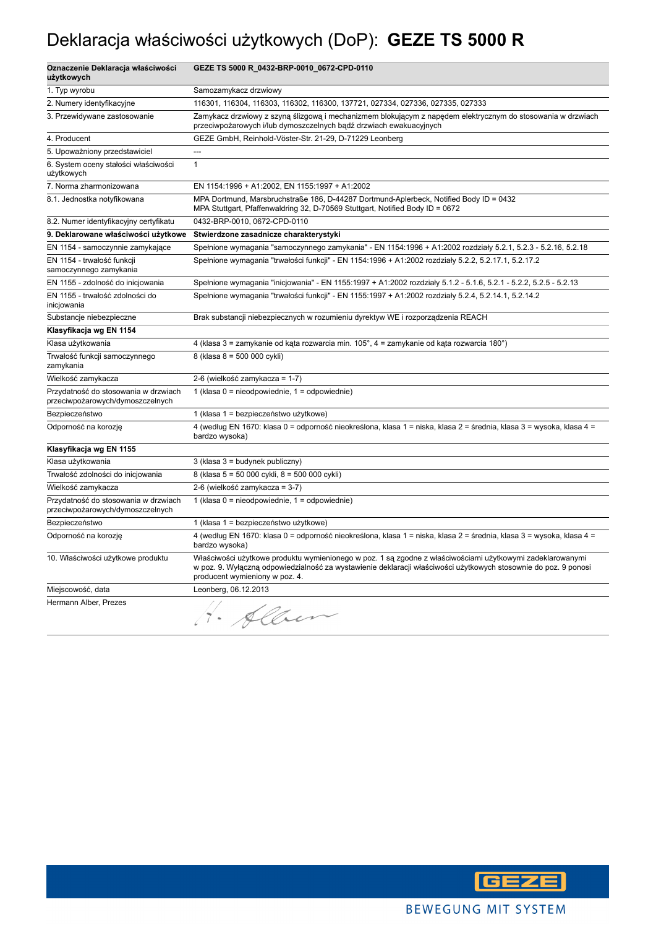## Deklaracja właściwości użytkowych (DoP): **GEZE TS 5000 R**

| Oznaczenie Deklaracja właściwości<br>użytkowych                          | GEZE TS 5000 R_0432-BRP-0010_0672-CPD-0110                                                                                                                                                                                                                     |
|--------------------------------------------------------------------------|----------------------------------------------------------------------------------------------------------------------------------------------------------------------------------------------------------------------------------------------------------------|
| 1. Typ wyrobu                                                            | Samozamykacz drzwiowy                                                                                                                                                                                                                                          |
| 2. Numery identyfikacyjne                                                | 116301, 116304, 116303, 116302, 116300, 137721, 027334, 027336, 027335, 027333                                                                                                                                                                                 |
| 3. Przewidywane zastosowanie                                             | Zamykacz drzwiowy z szyną ślizgową i mechanizmem blokującym z napędem elektrycznym do stosowania w drzwiach<br>przeciwpożarowych i/lub dymoszczelnych bądź drzwiach ewakuacyjnych                                                                              |
| 4. Producent                                                             | GEZE GmbH, Reinhold-Vöster-Str. 21-29, D-71229 Leonberg                                                                                                                                                                                                        |
| 5. Upoważniony przedstawiciel                                            | $\overline{a}$                                                                                                                                                                                                                                                 |
| 6. System oceny stałości właściwości<br>użytkowych                       | $\mathbf{1}$                                                                                                                                                                                                                                                   |
| 7. Norma zharmonizowana                                                  | EN 1154:1996 + A1:2002, EN 1155:1997 + A1:2002                                                                                                                                                                                                                 |
| 8.1. Jednostka notyfikowana                                              | MPA Dortmund, Marsbruchstraße 186, D-44287 Dortmund-Aplerbeck, Notified Body ID = 0432<br>MPA Stuttgart, Pfaffenwaldring 32, D-70569 Stuttgart, Notified Body ID = 0672                                                                                        |
| 8.2. Numer identyfikacyjny certyfikatu                                   | 0432-BRP-0010, 0672-CPD-0110                                                                                                                                                                                                                                   |
| 9. Deklarowane właściwości użytkowe                                      | Stwierdzone zasadnicze charakterystyki                                                                                                                                                                                                                         |
| EN 1154 - samoczynnie zamykające                                         | Spełnione wymagania "samoczynnego zamykania" - EN 1154:1996 + A1:2002 rozdziały 5.2.1, 5.2.3 - 5.2.16, 5.2.18                                                                                                                                                  |
| EN 1154 - trwałość funkcji<br>samoczynnego zamykania                     | Spełnione wymagania "trwałości funkcji" - EN 1154:1996 + A1:2002 rozdziały 5.2.2, 5.2.17.1, 5.2.17.2                                                                                                                                                           |
| EN 1155 - zdolność do inicjowania                                        | Spełnione wymagania "inicjowania" - EN 1155:1997 + A1:2002 rozdziały 5.1.2 - 5.1.6, 5.2.1 - 5.2.2, 5.2.5 - 5.2.13                                                                                                                                              |
| EN 1155 - trwałość zdolności do<br>inicjowania                           | Spełnione wymagania "trwałości funkcji" - EN 1155:1997 + A1:2002 rozdziały 5.2.4, 5.2.14.1, 5.2.14.2                                                                                                                                                           |
| Substancje niebezpieczne                                                 | Brak substancji niebezpiecznych w rozumieniu dyrektyw WE i rozporządzenia REACH                                                                                                                                                                                |
| Klasyfikacja wg EN 1154                                                  |                                                                                                                                                                                                                                                                |
| Klasa użytkowania                                                        | 4 (klasa 3 = zamykanie od kąta rozwarcia min. 105°, 4 = zamykanie od kąta rozwarcia 180°)                                                                                                                                                                      |
| Trwałość funkcji samoczynnego<br>zamykania                               | 8 (klasa 8 = 500 000 cykli)                                                                                                                                                                                                                                    |
| Wielkość zamykacza                                                       | 2-6 (wielkość zamykacza = 1-7)                                                                                                                                                                                                                                 |
| Przydatność do stosowania w drzwiach<br>przeciwpożarowych/dymoszczelnych | 1 (klasa 0 = nieodpowiednie, 1 = odpowiednie)                                                                                                                                                                                                                  |
| Bezpieczeństwo                                                           | 1 (klasa 1 = bezpieczeństwo użytkowe)                                                                                                                                                                                                                          |
| Odporność na korozję                                                     | 4 (według EN 1670: klasa 0 = odporność nieokreślona, klasa 1 = niska, klasa 2 = średnia, klasa 3 = wysoka, klasa 4 =<br>bardzo wysoka)                                                                                                                         |
| Klasyfikacja wg EN 1155                                                  |                                                                                                                                                                                                                                                                |
| Klasa użytkowania                                                        | 3 (klasa 3 = budynek publiczny)                                                                                                                                                                                                                                |
| Trwałość zdolności do inicjowania                                        | 8 (klasa 5 = 50 000 cykli, 8 = 500 000 cykli)                                                                                                                                                                                                                  |
| Wielkość zamykacza                                                       | 2-6 (wielkość zamykacza = 3-7)                                                                                                                                                                                                                                 |
| Przydatność do stosowania w drzwiach<br>przeciwpożarowych/dymoszczelnych | 1 (klasa $0 =$ nieodpowiednie, $1 =$ odpowiednie)                                                                                                                                                                                                              |
| Bezpieczeństwo                                                           | 1 (klasa 1 = bezpieczeństwo użytkowe)                                                                                                                                                                                                                          |
| Odporność na korozję                                                     | 4 (według EN 1670: klasa 0 = odporność nieokreślona, klasa 1 = niska, klasa 2 = średnia, klasa 3 = wysoka, klasa 4 =<br>bardzo wysoka)                                                                                                                         |
| 10. Właściwości użytkowe produktu                                        | Właściwości użytkowe produktu wymienionego w poz. 1 są zgodne z właściwościami użytkowymi zadeklarowanymi<br>w poz. 9. Wyłączną odpowiedzialność za wystawienie deklaracji właściwości użytkowych stosownie do poz. 9 ponosi<br>producent wymieniony w poz. 4. |
| Miejscowość, data                                                        | Leonberg, 06.12.2013                                                                                                                                                                                                                                           |
| Hermann Alber, Prezes                                                    | Alber<br>$\Delta$                                                                                                                                                                                                                                              |

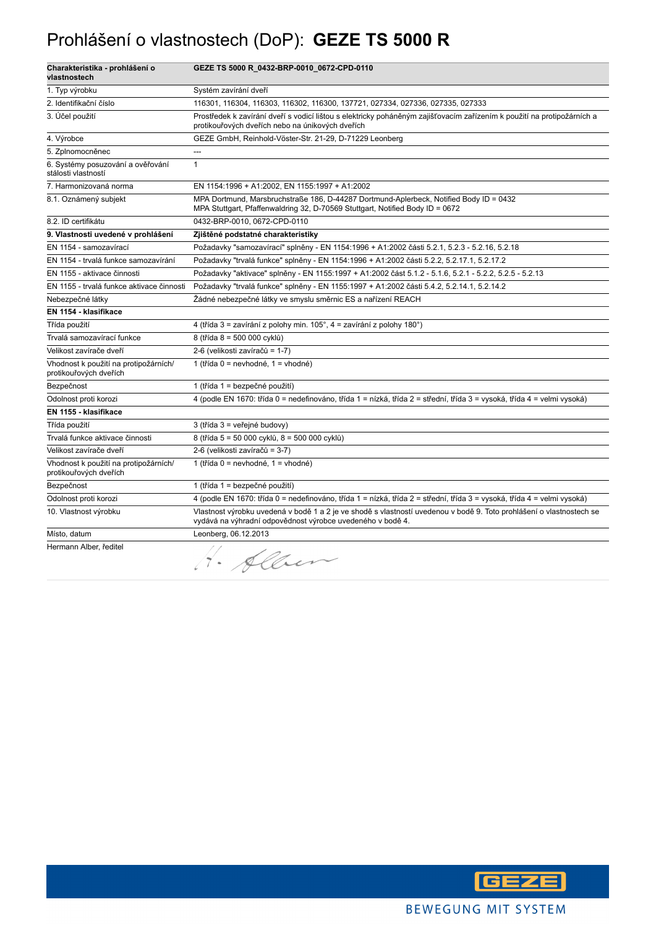#### Prohlášení o vlastnostech (DoP): **GEZE TS 5000 R**

| Charakteristika - prohlášení o<br>vlastnostech                  | GEZE TS 5000 R_0432-BRP-0010_0672-CPD-0110                                                                                                                                         |
|-----------------------------------------------------------------|------------------------------------------------------------------------------------------------------------------------------------------------------------------------------------|
| 1. Typ výrobku                                                  | Systém zavírání dveří                                                                                                                                                              |
| 2. Identifikační číslo                                          | 116301, 116304, 116303, 116302, 116300, 137721, 027334, 027336, 027335, 027333                                                                                                     |
| 3. Účel použití                                                 | Prostředek k zavírání dveří s vodicí lištou s elektricky poháněným zajišťovacím zařízením k použití na protipožárních a<br>protikouřových dveřích nebo na únikových dveřích        |
| 4. Výrobce                                                      | GEZE GmbH, Reinhold-Vöster-Str. 21-29, D-71229 Leonberg                                                                                                                            |
| 5. Zplnomocněnec                                                | ---                                                                                                                                                                                |
| 6. Systémy posuzování a ověřování<br>stálosti vlastností        | $\mathbf{1}$                                                                                                                                                                       |
| 7. Harmonizovaná norma                                          | EN 1154:1996 + A1:2002, EN 1155:1997 + A1:2002                                                                                                                                     |
| 8.1. Oznámený subjekt                                           | MPA Dortmund, Marsbruchstraße 186, D-44287 Dortmund-Aplerbeck, Notified Body ID = 0432<br>MPA Stuttgart, Pfaffenwaldring 32, D-70569 Stuttgart, Notified Body ID = 0672            |
| 8.2. ID certifikátu                                             | 0432-BRP-0010, 0672-CPD-0110                                                                                                                                                       |
| 9. Vlastnosti uvedené v prohlášení                              | Zjištěné podstatné charakteristiky                                                                                                                                                 |
| EN 1154 - samozavírací                                          | Požadavky "samozavírací" splněny - EN 1154:1996 + A1:2002 části 5.2.1, 5.2.3 - 5.2.16, 5.2.18                                                                                      |
| EN 1154 - trvalá funkce samozavírání                            | Požadavky "trvalá funkce" splněny - EN 1154:1996 + A1:2002 části 5.2.2, 5.2.17.1, 5.2.17.2                                                                                         |
| EN 1155 - aktivace činnosti                                     | Požadavky "aktivace" splněny - EN 1155:1997 + A1:2002 část 5.1.2 - 5.1.6, 5.2.1 - 5.2.2, 5.2.5 - 5.2.13                                                                            |
| EN 1155 - trvalá funkce aktivace činnosti                       | Požadavky "trvalá funkce" splněny - EN 1155:1997 + A1:2002 části 5.4.2, 5.2.14.1, 5.2.14.2                                                                                         |
| Nebezpečné látky                                                | Žádné nebezpečné látky ve smyslu směrnic ES a nařízení REACH                                                                                                                       |
| EN 1154 - klasifikace                                           |                                                                                                                                                                                    |
| Třída použití                                                   | 4 (třída 3 = zavírání z polohy min. 105°, 4 = zavírání z polohy 180°)                                                                                                              |
| Trvalá samozavírací funkce                                      | 8 (třída 8 = 500 000 cyklů)                                                                                                                                                        |
| Velikost zavírače dveří                                         | 2-6 (velikosti zavíračů = 1-7)                                                                                                                                                     |
| Vhodnost k použití na protipožárních/<br>protikouřových dveřích | 1 (třída 0 = nevhodné, 1 = vhodné)                                                                                                                                                 |
| Bezpečnost                                                      | 1 (třída 1 = bezpečné použití)                                                                                                                                                     |
| Odolnost proti korozi                                           | 4 (podle EN 1670: třída 0 = nedefinováno, třída 1 = nízká, třída 2 = střední, třída 3 = vysoká, třída 4 = velmi vysoká)                                                            |
| EN 1155 - klasifikace                                           |                                                                                                                                                                                    |
| Třída použití                                                   | 3 (třída 3 = veřejné budovy)                                                                                                                                                       |
| Trvalá funkce aktivace činnosti                                 | 8 (třída 5 = 50 000 cyklů, 8 = 500 000 cyklů)                                                                                                                                      |
| Velikost zavírače dveří                                         | 2-6 (velikosti zavíračů = 3-7)                                                                                                                                                     |
| Vhodnost k použití na protipožárních/<br>protikouřových dveřích | 1 (třída 0 = nevhodné, 1 = vhodné)                                                                                                                                                 |
| Bezpečnost                                                      | 1 (třída 1 = bezpečné použití)                                                                                                                                                     |
| Odolnost proti korozi                                           | 4 (podle EN 1670: třída 0 = nedefinováno, třída 1 = nízká, třída 2 = střední, třída 3 = vysoká, třída 4 = velmi vysoká)                                                            |
| 10. Vlastnost výrobku                                           | Vlastnost výrobku uvedená v bodě 1 a 2 je ve shodě s vlastností uvedenou v bodě 9. Toto prohlášení o vlastnostech se<br>vydává na výhradní odpovědnost výrobce uvedeného v bodě 4. |
| Místo, datum                                                    | Leonberg, 06.12.2013                                                                                                                                                               |
| Hermann Alber, ředitel                                          | H. Alben                                                                                                                                                                           |

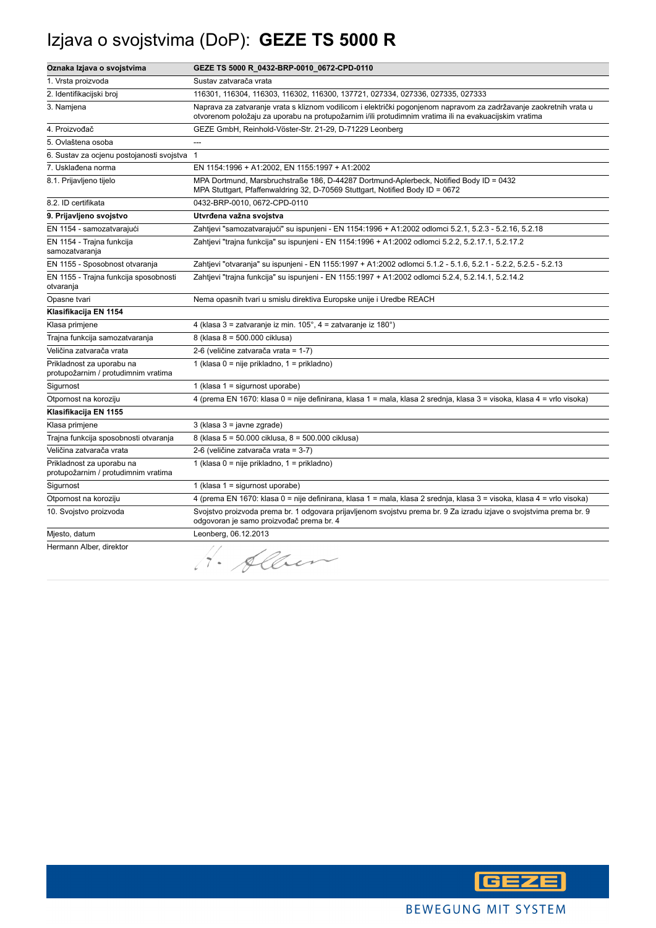## Izjava o svojstvima (DoP): **GEZE TS 5000 R**

| Oznaka Izjava o svojstvima                                       | GEZE TS 5000 R_0432-BRP-0010_0672-CPD-0110                                                                                                                                                                                  |
|------------------------------------------------------------------|-----------------------------------------------------------------------------------------------------------------------------------------------------------------------------------------------------------------------------|
| 1. Vrsta proizvoda                                               | Sustav zatvarača vrata                                                                                                                                                                                                      |
| 2. Identifikacijski broj                                         | 116301, 116304, 116303, 116302, 116300, 137721, 027334, 027336, 027335, 027333                                                                                                                                              |
| 3. Namjena                                                       | Naprava za zatvaranje vrata s kliznom vodilicom i električki pogonjenom napravom za zadržavanje zaokretnih vrata u<br>otvorenom položaju za uporabu na protupožarnim i/ili protudimnim vratima ili na evakuacijskim vratima |
| 4. Proizvođač                                                    | GEZE GmbH, Reinhold-Vöster-Str. 21-29, D-71229 Leonberg                                                                                                                                                                     |
| 5. Ovlaštena osoba                                               |                                                                                                                                                                                                                             |
| 6. Sustav za ocjenu postojanosti svojstva                        | $\overline{1}$                                                                                                                                                                                                              |
| 7. Usklađena norma                                               | EN 1154:1996 + A1:2002, EN 1155:1997 + A1:2002                                                                                                                                                                              |
| 8.1. Prijavljeno tijelo                                          | MPA Dortmund, Marsbruchstraße 186, D-44287 Dortmund-Aplerbeck, Notified Body ID = 0432<br>MPA Stuttgart, Pfaffenwaldring 32, D-70569 Stuttgart, Notified Body ID = 0672                                                     |
| 8.2. ID certifikata                                              | 0432-BRP-0010, 0672-CPD-0110                                                                                                                                                                                                |
| 9. Prijavljeno svojstvo                                          | Utvrđena važna svojstva                                                                                                                                                                                                     |
| EN 1154 - samozatvarajući                                        | Zahtjevi "samozatvarajući" su ispunjeni - EN 1154:1996 + A1:2002 odlomci 5.2.1, 5.2.3 - 5.2.16, 5.2.18                                                                                                                      |
| EN 1154 - Trajna funkcija<br>samozatvaranja                      | Zahtjevi "trajna funkcija" su ispunjeni - EN 1154:1996 + A1:2002 odlomci 5.2.2, 5.2.17.1, 5.2.17.2                                                                                                                          |
| EN 1155 - Sposobnost otvaranja                                   | Zahtjevi "otvaranja" su ispunjeni - EN 1155:1997 + A1:2002 odlomci 5.1.2 - 5.1.6, 5.2.1 - 5.2.2, 5.2.5 - 5.2.13                                                                                                             |
| EN 1155 - Trajna funkcija sposobnosti<br>otvaranja               | Zahtjevi "trajna funkcija" su ispunjeni - EN 1155:1997 + A1:2002 odlomci 5.2.4, 5.2.14.1, 5.2.14.2                                                                                                                          |
| Opasne tvari                                                     | Nema opasnih tvari u smislu direktiva Europske unije i Uredbe REACH                                                                                                                                                         |
| Klasifikacija EN 1154                                            |                                                                                                                                                                                                                             |
| Klasa primjene                                                   | 4 (klasa 3 = zatvaranje iz min. 105°, 4 = zatvaranje iz 180°)                                                                                                                                                               |
| Trajna funkcija samozatvaranja                                   | 8 (klasa 8 = 500.000 ciklusa)                                                                                                                                                                                               |
| Veličina zatvarača vrata                                         | 2-6 (veličine zatvarača vrata = 1-7)                                                                                                                                                                                        |
| Prikladnost za uporabu na<br>protupožarnim / protudimnim vratima | 1 (klasa 0 = nije prikladno, 1 = prikladno)                                                                                                                                                                                 |
| Sigurnost                                                        | 1 (klasa 1 = sigurnost uporabe)                                                                                                                                                                                             |
| Otpornost na koroziju                                            | 4 (prema EN 1670: klasa 0 = nije definirana, klasa 1 = mala, klasa 2 srednja, klasa 3 = visoka, klasa 4 = vrlo visoka)                                                                                                      |
| Klasifikacija EN 1155                                            |                                                                                                                                                                                                                             |
| Klasa primjene                                                   | $3$ (klasa $3 =$ javne zgrade)                                                                                                                                                                                              |
| Trajna funkcija sposobnosti otvaranja                            | 8 (klasa 5 = 50.000 ciklusa, 8 = 500.000 ciklusa)                                                                                                                                                                           |
| Veličina zatvarača vrata                                         | 2-6 (veličine zatvarača vrata = 3-7)                                                                                                                                                                                        |
| Prikladnost za uporabu na<br>protupožarnim / protudimnim vratima | 1 (klasa 0 = nije prikladno, 1 = prikladno)                                                                                                                                                                                 |
| Sigurnost                                                        | 1 (klasa $1 =$ sigurnost uporabe)                                                                                                                                                                                           |
| Otpornost na koroziju                                            | 4 (prema EN 1670: klasa 0 = nije definirana, klasa 1 = mala, klasa 2 srednja, klasa 3 = visoka, klasa 4 = vrlo visoka)                                                                                                      |
| 10. Svojstvo proizvoda                                           | Svojstvo proizvoda prema br. 1 odgovara prijavljenom svojstvu prema br. 9 Za izradu izjave o svojstvima prema br. 9<br>odgovoran je samo proizvođač prema br. 4                                                             |
| Mjesto, datum                                                    | Leonberg, 06.12.2013                                                                                                                                                                                                        |
| Hermann Alber, direktor                                          | Alber<br>$\Delta$                                                                                                                                                                                                           |